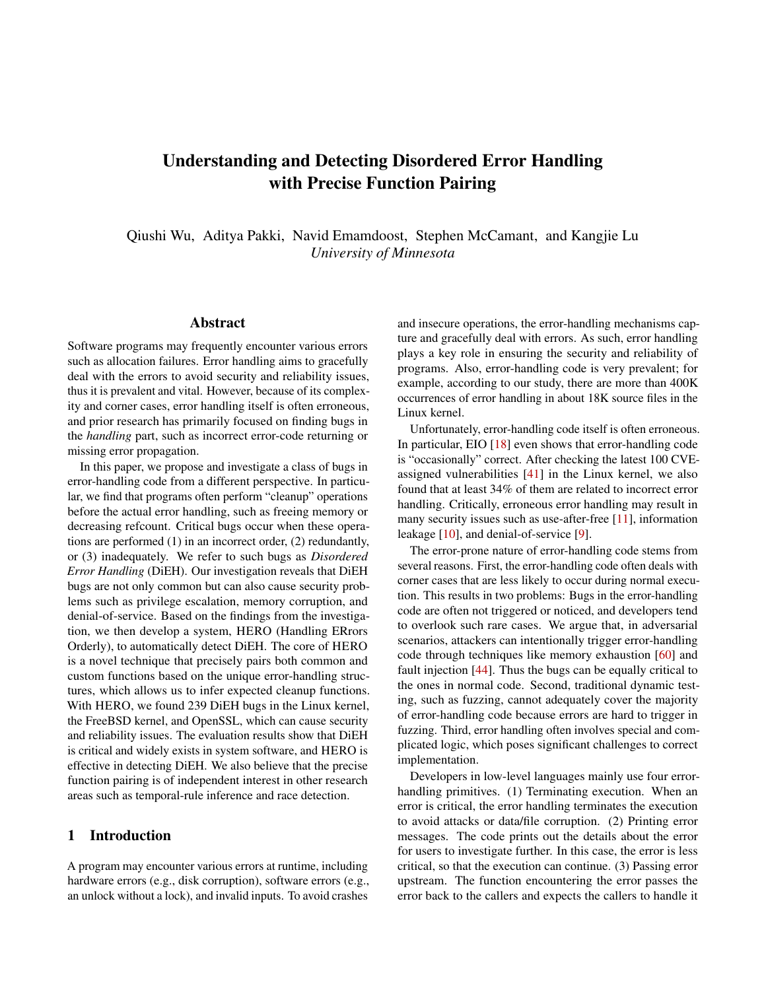# Understanding and Detecting Disordered Error Handling with Precise Function Pairing

Qiushi Wu, Aditya Pakki, Navid Emamdoost, Stephen McCamant, and Kangjie Lu *University of Minnesota*

## Abstract

Software programs may frequently encounter various errors such as allocation failures. Error handling aims to gracefully deal with the errors to avoid security and reliability issues, thus it is prevalent and vital. However, because of its complexity and corner cases, error handling itself is often erroneous, and prior research has primarily focused on finding bugs in the *handling* part, such as incorrect error-code returning or missing error propagation.

In this paper, we propose and investigate a class of bugs in error-handling code from a different perspective. In particular, we find that programs often perform "cleanup" operations before the actual error handling, such as freeing memory or decreasing refcount. Critical bugs occur when these operations are performed (1) in an incorrect order, (2) redundantly, or (3) inadequately. We refer to such bugs as *Disordered Error Handling* (DiEH). Our investigation reveals that DiEH bugs are not only common but can also cause security problems such as privilege escalation, memory corruption, and denial-of-service. Based on the findings from the investigation, we then develop a system, HERO (Handling ERrors Orderly), to automatically detect DiEH. The core of HERO is a novel technique that precisely pairs both common and custom functions based on the unique error-handling structures, which allows us to infer expected cleanup functions. With HERO, we found 239 DiEH bugs in the Linux kernel, the FreeBSD kernel, and OpenSSL, which can cause security and reliability issues. The evaluation results show that DiEH is critical and widely exists in system software, and HERO is effective in detecting DiEH. We also believe that the precise function pairing is of independent interest in other research areas such as temporal-rule inference and race detection.

## 1 Introduction

A program may encounter various errors at runtime, including hardware errors (e.g., disk corruption), software errors (e.g., an unlock without a lock), and invalid inputs. To avoid crashes

and insecure operations, the error-handling mechanisms capture and gracefully deal with errors. As such, error handling plays a key role in ensuring the security and reliability of programs. Also, error-handling code is very prevalent; for example, according to our study, there are more than 400K occurrences of error handling in about 18K source files in the Linux kernel.

Unfortunately, error-handling code itself is often erroneous. In particular, EIO [\[18\]](#page-15-0) even shows that error-handling code is "occasionally" correct. After checking the latest 100 CVEassigned vulnerabilities [\[41\]](#page-16-0) in the Linux kernel, we also found that at least 34% of them are related to incorrect error handling. Critically, erroneous error handling may result in many security issues such as use-after-free [\[11\]](#page-15-1), information leakage [\[10\]](#page-15-2), and denial-of-service [\[9\]](#page-15-3).

The error-prone nature of error-handling code stems from several reasons. First, the error-handling code often deals with corner cases that are less likely to occur during normal execution. This results in two problems: Bugs in the error-handling code are often not triggered or noticed, and developers tend to overlook such rare cases. We argue that, in adversarial scenarios, attackers can intentionally trigger error-handling code through techniques like memory exhaustion [\[60\]](#page-16-1) and fault injection [\[44\]](#page-16-2). Thus the bugs can be equally critical to the ones in normal code. Second, traditional dynamic testing, such as fuzzing, cannot adequately cover the majority of error-handling code because errors are hard to trigger in fuzzing. Third, error handling often involves special and complicated logic, which poses significant challenges to correct implementation.

Developers in low-level languages mainly use four errorhandling primitives. (1) Terminating execution. When an error is critical, the error handling terminates the execution to avoid attacks or data/file corruption. (2) Printing error messages. The code prints out the details about the error for users to investigate further. In this case, the error is less critical, so that the execution can continue. (3) Passing error upstream. The function encountering the error passes the error back to the callers and expects the callers to handle it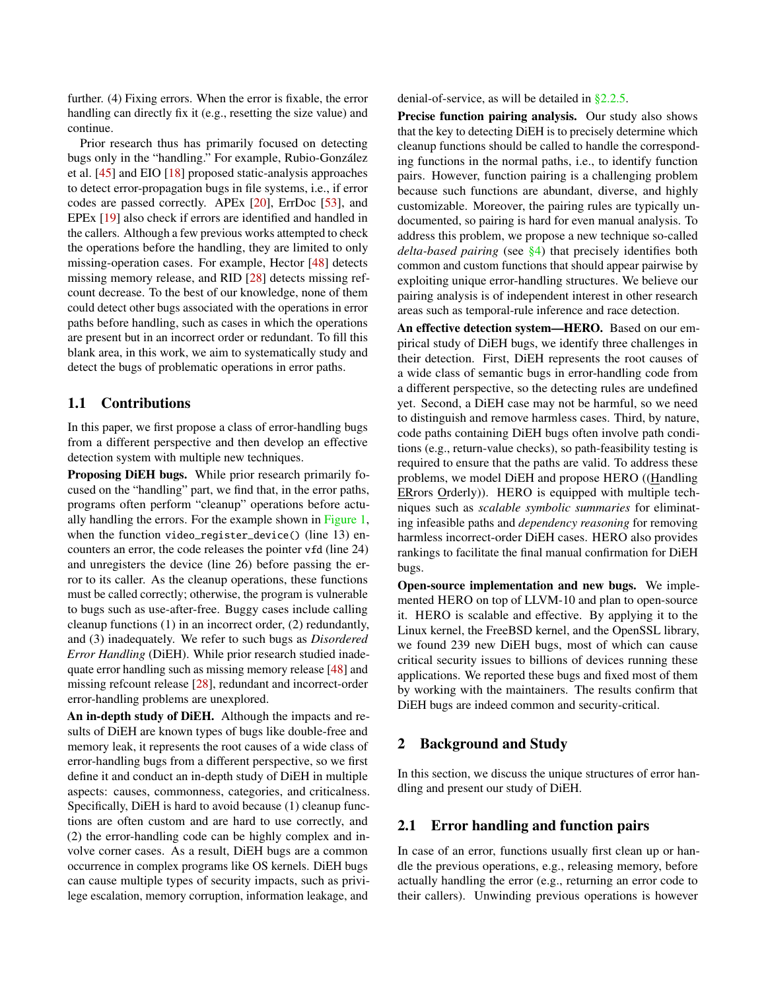further. (4) Fixing errors. When the error is fixable, the error handling can directly fix it (e.g., resetting the size value) and continue.

Prior research thus has primarily focused on detecting bugs only in the "handling." For example, Rubio-González et al. [\[45\]](#page-16-3) and EIO [\[18\]](#page-15-0) proposed static-analysis approaches to detect error-propagation bugs in file systems, i.e., if error codes are passed correctly. APEx [\[20\]](#page-15-4), ErrDoc [\[53\]](#page-16-4), and EPEx [\[19\]](#page-15-5) also check if errors are identified and handled in the callers. Although a few previous works attempted to check the operations before the handling, they are limited to only missing-operation cases. For example, Hector [\[48\]](#page-16-5) detects missing memory release, and RID [\[28\]](#page-15-6) detects missing refcount decrease. To the best of our knowledge, none of them could detect other bugs associated with the operations in error paths before handling, such as cases in which the operations are present but in an incorrect order or redundant. To fill this blank area, in this work, we aim to systematically study and detect the bugs of problematic operations in error paths.

## 1.1 Contributions

In this paper, we first propose a class of error-handling bugs from a different perspective and then develop an effective detection system with multiple new techniques.

Proposing DiEH bugs. While prior research primarily focused on the "handling" part, we find that, in the error paths, programs often perform "cleanup" operations before actually handling the errors. For the example shown in [Figure 1,](#page-2-0) when the function video\_register\_device() (line 13) encounters an error, the code releases the pointer vfd (line 24) and unregisters the device (line 26) before passing the error to its caller. As the cleanup operations, these functions must be called correctly; otherwise, the program is vulnerable to bugs such as use-after-free. Buggy cases include calling cleanup functions (1) in an incorrect order, (2) redundantly, and (3) inadequately. We refer to such bugs as *Disordered Error Handling* (DiEH). While prior research studied inadequate error handling such as missing memory release [\[48\]](#page-16-5) and missing refcount release [\[28\]](#page-15-6), redundant and incorrect-order error-handling problems are unexplored.

An in-depth study of DiEH. Although the impacts and results of DiEH are known types of bugs like double-free and memory leak, it represents the root causes of a wide class of error-handling bugs from a different perspective, so we first define it and conduct an in-depth study of DiEH in multiple aspects: causes, commonness, categories, and criticalness. Specifically, DiEH is hard to avoid because (1) cleanup functions are often custom and are hard to use correctly, and (2) the error-handling code can be highly complex and involve corner cases. As a result, DiEH bugs are a common occurrence in complex programs like OS kernels. DiEH bugs can cause multiple types of security impacts, such as privilege escalation, memory corruption, information leakage, and

denial-of-service, as will be detailed in [§2.2.5.](#page-4-0)

Precise function pairing analysis. Our study also shows that the key to detecting DiEH is to precisely determine which cleanup functions should be called to handle the corresponding functions in the normal paths, i.e., to identify function pairs. However, function pairing is a challenging problem because such functions are abundant, diverse, and highly customizable. Moreover, the pairing rules are typically undocumented, so pairing is hard for even manual analysis. To address this problem, we propose a new technique so-called *delta-based pairing* (see [§4\)](#page-6-0) that precisely identifies both common and custom functions that should appear pairwise by exploiting unique error-handling structures. We believe our pairing analysis is of independent interest in other research areas such as temporal-rule inference and race detection.

An effective detection system-HERO. Based on our empirical study of DiEH bugs, we identify three challenges in their detection. First, DiEH represents the root causes of a wide class of semantic bugs in error-handling code from a different perspective, so the detecting rules are undefined yet. Second, a DiEH case may not be harmful, so we need to distinguish and remove harmless cases. Third, by nature, code paths containing DiEH bugs often involve path conditions (e.g., return-value checks), so path-feasibility testing is required to ensure that the paths are valid. To address these problems, we model DiEH and propose HERO ((Handling ERrors Orderly)). HERO is equipped with multiple techniques such as *scalable symbolic summaries* for eliminating infeasible paths and *dependency reasoning* for removing harmless incorrect-order DiEH cases. HERO also provides rankings to facilitate the final manual confirmation for DiEH bugs.

Open-source implementation and new bugs. We implemented HERO on top of LLVM-10 and plan to open-source it. HERO is scalable and effective. By applying it to the Linux kernel, the FreeBSD kernel, and the OpenSSL library, we found 239 new DiEH bugs, most of which can cause critical security issues to billions of devices running these applications. We reported these bugs and fixed most of them by working with the maintainers. The results confirm that DiEH bugs are indeed common and security-critical.

#### 2 Background and Study

In this section, we discuss the unique structures of error handling and present our study of DiEH.

# 2.1 Error handling and function pairs

In case of an error, functions usually first clean up or handle the previous operations, e.g., releasing memory, before actually handling the error (e.g., returning an error code to their callers). Unwinding previous operations is however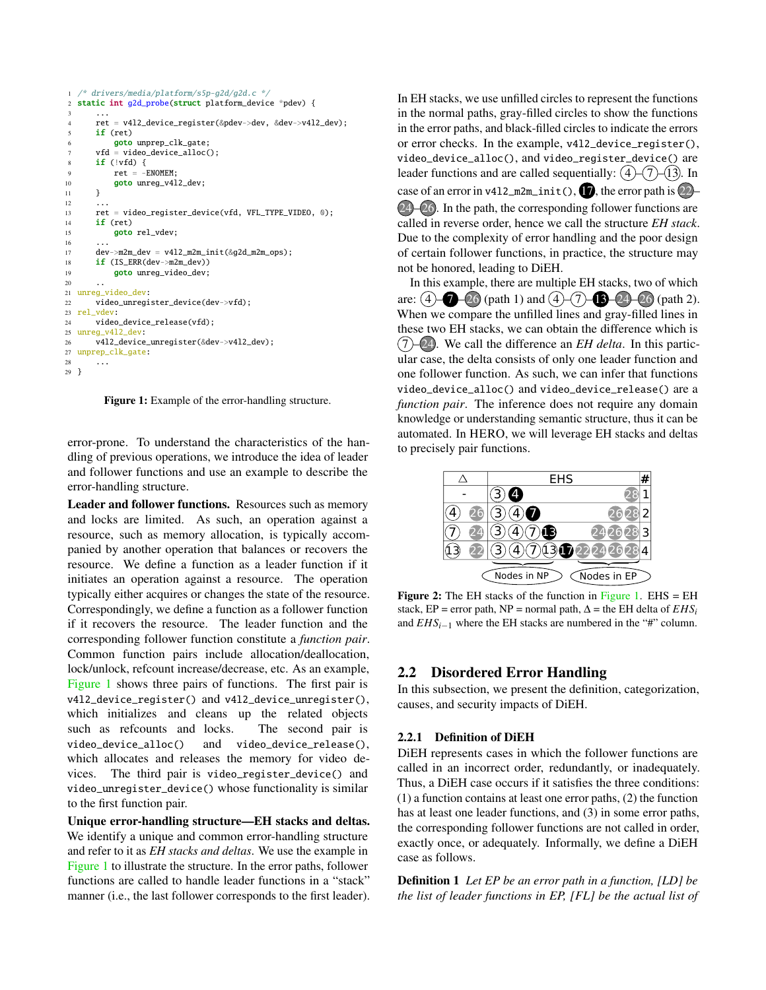```
1 /* drivers/media/platform/s5p-g2d/g2d.c */
2 static int g2d_probe(struct platform_device *pdev) {
 3 ...
4 ret = v4l2_device_register(&pdev->dev, &dev->v4l2_dev);
5 if (ret)
6 goto unprep_clk_gate;
7 vfd = video_device_alloc();
8 if (!vfd) {
9 ret = -ENOMEM;
10 goto unreg_v412_dev;
11 }
12 \quad . \quad . \quad .13 ret = video_register_device(vfd, VFL_TYPE_VIDEO, 0);
14 if (ret)
15 goto rel_vdev;
16 ...
17 dev->m2m_dev = v4l2_m2m_init(&g2d_m2m_ops);
18 if (IS_ERR(dev->m2m_dev))
19 goto unreg_video_dev;
2021 unreg_video_dev:
22 video_unregister_device(dev->vfd);
23 rel_vdev:
24 video_device_release(vfd);
rac{25}{26} unreg_v4l2_dev:<br>rac{25}{26} v4l2 device
      v4l2_device_unregister(&dev->v4l2_dev);
27 unprep_clk_gate:
28 ...
29 }
```
Figure 1: Example of the error-handling structure.

error-prone. To understand the characteristics of the handling of previous operations, we introduce the idea of leader and follower functions and use an example to describe the error-handling structure.

Leader and follower functions. Resources such as memory and locks are limited. As such, an operation against a resource, such as memory allocation, is typically accompanied by another operation that balances or recovers the resource. We define a function as a leader function if it initiates an operation against a resource. The operation typically either acquires or changes the state of the resource. Correspondingly, we define a function as a follower function if it recovers the resource. The leader function and the corresponding follower function constitute a *function pair*. Common function pairs include allocation/deallocation, lock/unlock, refcount increase/decrease, etc. As an example, [Figure 1](#page-2-0) shows three pairs of functions. The first pair is v4l2\_device\_register() and v4l2\_device\_unregister(), which initializes and cleans up the related objects such as refcounts and locks. The second pair is video\_device\_alloc() and video\_device\_release(), which allocates and releases the memory for video devices. The third pair is video\_register\_device() and video\_unregister\_device() whose functionality is similar to the first function pair.

Unique error-handling structure—EH stacks and deltas. We identify a unique and common error-handling structure and refer to it as *EH stacks and deltas*. We use the example in [Figure 1](#page-2-0) to illustrate the structure. In the error paths, follower functions are called to handle leader functions in a "stack" manner (i.e., the last follower corresponds to the first leader). In EH stacks, we use unfilled circles to represent the functions in the normal paths, gray-filled circles to show the functions in the error paths, and black-filled circles to indicate the errors or error checks. In the example, v4l2\_device\_register(), video\_device\_alloc(), and video\_register\_device() are leader functions and are called sequentially:  $(4)$ – $(7)$ – $(13)$ . In case of an error in v412\_m2m\_init(),  $\bullet$ , the error path is  $(2)$ -24 – 26. In the path, the corresponding follower functions are called in reverse order, hence we call the structure *EH stack*. Due to the complexity of error handling and the poor design of certain follower functions, in practice, the structure may not be honored, leading to DiEH.

In this example, there are multiple EH stacks, two of which are:  $(4)$   $\bigcirc$  –26 (path 1) and  $(4)$ – $(7)$ – $\bigcirc$ –24–26 (path 2). When we compare the unfilled lines and gray-filled lines in these two EH stacks, we can obtain the difference which is  $(7)$ – $(24)$ . We call the difference an *EH delta*. In this particular case, the delta consists of only one leader function and one follower function. As such, we can infer that functions video\_device\_alloc() and video\_device\_release() are a *function pair*. The inference does not require any domain knowledge or understanding semantic structure, thus it can be automated. In HERO, we will leverage EH stacks and deltas to precisely pair functions.

<span id="page-2-2"></span>

**Figure 2:** The EH stacks of the function in [Figure 1.](#page-2-0) EHS  $=$  EH stack, EP = error path, NP = normal path,  $\Delta$  = the EH delta of  $EHS_i$ and  $EHS_{i-1}$  where the EH stacks are numbered in the "#" column.

# 2.2 Disordered Error Handling

In this subsection, we present the definition, categorization, causes, and security impacts of DiEH.

## <span id="page-2-1"></span>2.2.1 Definition of DiEH

DiEH represents cases in which the follower functions are called in an incorrect order, redundantly, or inadequately. Thus, a DiEH case occurs if it satisfies the three conditions: (1) a function contains at least one error paths, (2) the function has at least one leader functions, and (3) in some error paths, the corresponding follower functions are not called in order, exactly once, or adequately. Informally, we define a DiEH case as follows.

Definition 1 *Let EP be an error path in a function, [LD] be the list of leader functions in EP, [FL] be the actual list of*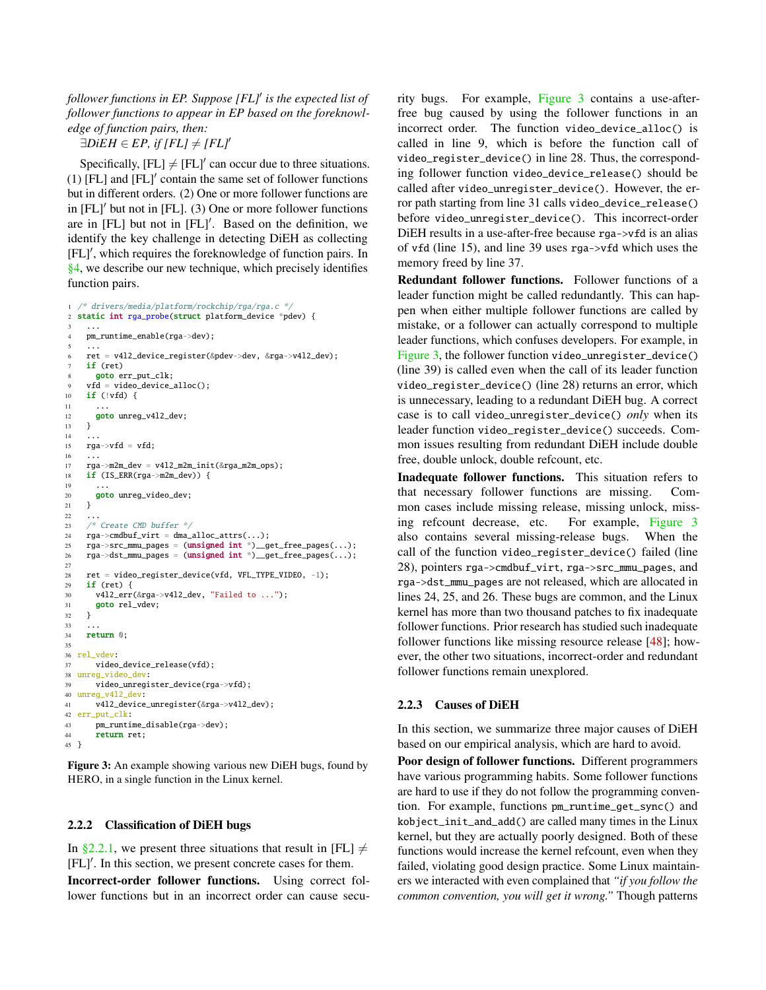*follower functions in EP. Suppose [FL]*′ *is the expected list of follower functions to appear in EP based on the foreknowledge of function pairs, then:*

 $\exists DiEH \in EP, \text{ if } [FL] \neq [FL]'$ 

Specifically,  $[FL] \neq [FL]'$  can occur due to three situations. (1) [FL] and [FL]′ contain the same set of follower functions but in different orders. (2) One or more follower functions are in [FL]′ but not in [FL]. (3) One or more follower functions are in [FL] but not in [FL]′ . Based on the definition, we identify the key challenge in detecting DiEH as collecting [FL]′ , which requires the foreknowledge of function pairs. In [§4,](#page-6-0) we describe our new technique, which precisely identifies function pairs.

```
/* drivers/media/platform/rockchip/rga/rga.c */
2 static int rga_probe(struct platform_device *pdev) {
 3 ...
4 pm_runtime_enable(rga->dev);
 5 ...
     6 ret = v4l2_device_register(&pdev->dev, &rga->v4l2_dev);
    if (ret)
      goto err_put_clk;
     vfd = video_device_alloc();
10 if (!vfd) {
1112 goto unreg_v412_dev;
    \mathcal{I}1415 \text{rga} \rightarrow \text{vfd} = \text{vfd};
16 \t...17 rga->m2m_dev = v4l2_m2m_init(&rga_m2m_ops);
18 if (IS_ERR(rga->m2m_dev)) {
19 ...
20 goto unreg_video_dev;
21 }
22 ...
23 /* Create CMD buffer */
24 rga->cmdbuf_virt = dma_alloc_attrs(...);
25 \texttt{rga->src\_mmu\_pages} = (\text{unsigned int }^*)\_\texttt{get\_free\_pages}(\dots);26 rga->dst_mmu_pages = (unsigned int *)__get_free_pages(...);
27
28 ret = video_register_device(vfd, VFL_TYPE_VIDEO, -1);
29 if (ret) \{30 v4l2_err(&rga->v4l2_dev, "Failed to ...");
31 goto rel_vdev:
32 }
33
34 return 0;
35
36 rel_vdev:
37 video_device_release(vfd);
38 unreg_video_dev:
39 video_unregister_device(rga->vfd);
40 unreg_v4l2_dev:
41 v4l2_device_unregister(&rga->v4l2_dev);
42 err_put_clk:
43 pm_runtime_disable(rga->dev);
44 return ret;
45 }
```
Figure 3: An example showing various new DiEH bugs, found by HERO, in a single function in the Linux kernel.

#### 2.2.2 Classification of DiEH bugs

In [§2.2.1,](#page-2-1) we present three situations that result in [FL]  $\neq$ [FL]′ . In this section, we present concrete cases for them.

Incorrect-order follower functions. Using correct follower functions but in an incorrect order can cause security bugs. For example, [Figure 3](#page-3-0) contains a use-afterfree bug caused by using the follower functions in an incorrect order. The function video\_device\_alloc() is called in line 9, which is before the function call of video\_register\_device() in line 28. Thus, the corresponding follower function video\_device\_release() should be called after video\_unregister\_device(). However, the error path starting from line 31 calls video\_device\_release() before video\_unregister\_device(). This incorrect-order DiEH results in a use-after-free because rga->vfd is an alias of vfd (line 15), and line 39 uses rga->vfd which uses the memory freed by line 37.

Redundant follower functions. Follower functions of a leader function might be called redundantly. This can happen when either multiple follower functions are called by mistake, or a follower can actually correspond to multiple leader functions, which confuses developers. For example, in [Figure 3,](#page-3-0) the follower function video\_unregister\_device() (line 39) is called even when the call of its leader function video\_register\_device() (line 28) returns an error, which is unnecessary, leading to a redundant DiEH bug. A correct case is to call video\_unregister\_device() *only* when its leader function video\_register\_device() succeeds. Common issues resulting from redundant DiEH include double free, double unlock, double refcount, etc.

Inadequate follower functions. This situation refers to that necessary follower functions are missing. Common cases include missing release, missing unlock, missing refcount decrease, etc. For example, [Figure 3](#page-3-0) also contains several missing-release bugs. When the call of the function video\_register\_device() failed (line 28), pointers rga->cmdbuf\_virt, rga->src\_mmu\_pages, and rga->dst\_mmu\_pages are not released, which are allocated in lines 24, 25, and 26. These bugs are common, and the Linux kernel has more than two thousand patches to fix inadequate follower functions. Prior research has studied such inadequate follower functions like missing resource release [\[48\]](#page-16-5); however, the other two situations, incorrect-order and redundant follower functions remain unexplored.

#### <span id="page-3-1"></span>2.2.3 Causes of DiEH

In this section, we summarize three major causes of DiEH based on our empirical analysis, which are hard to avoid.

Poor design of follower functions. Different programmers have various programming habits. Some follower functions are hard to use if they do not follow the programming convention. For example, functions pm\_runtime\_get\_sync() and kobject\_init\_and\_add() are called many times in the Linux kernel, but they are actually poorly designed. Both of these functions would increase the kernel refcount, even when they failed, violating good design practice. Some Linux maintainers we interacted with even complained that *"if you follow the common convention, you will get it wrong."* Though patterns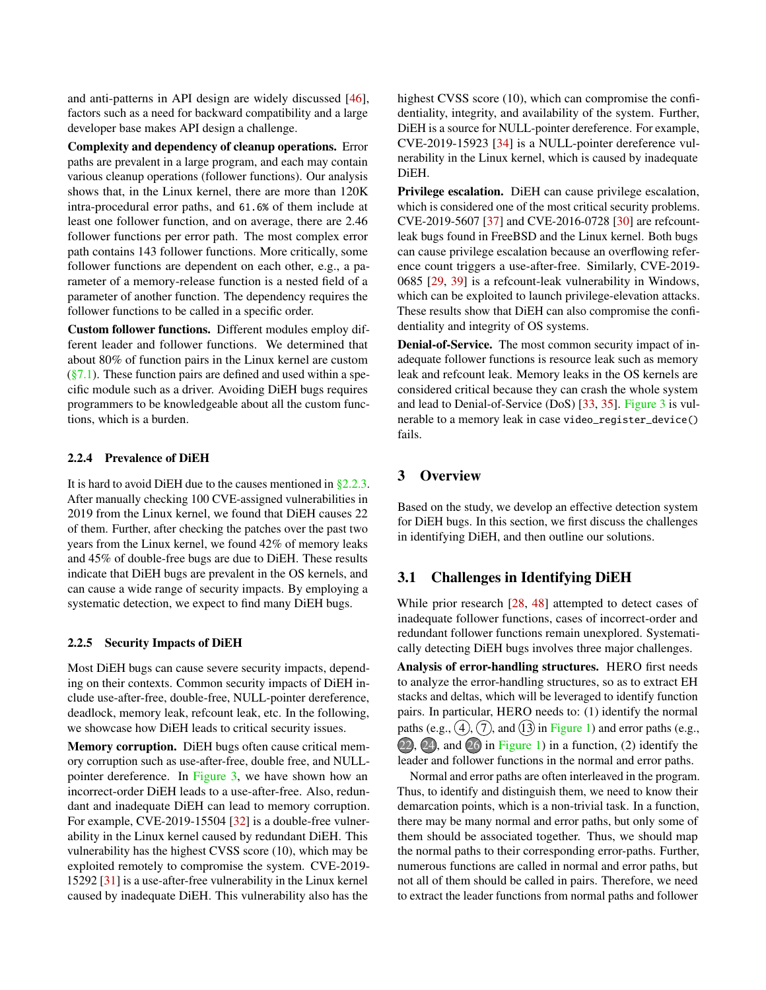and anti-patterns in API design are widely discussed [\[46\]](#page-16-6), factors such as a need for backward compatibility and a large developer base makes API design a challenge.

Complexity and dependency of cleanup operations. Error paths are prevalent in a large program, and each may contain various cleanup operations (follower functions). Our analysis shows that, in the Linux kernel, there are more than 120K intra-procedural error paths, and 61.6% of them include at least one follower function, and on average, there are 2.46 follower functions per error path. The most complex error path contains 143 follower functions. More critically, some follower functions are dependent on each other, e.g., a parameter of a memory-release function is a nested field of a parameter of another function. The dependency requires the follower functions to be called in a specific order.

Custom follower functions. Different modules employ different leader and follower functions. We determined that about 80% of function pairs in the Linux kernel are custom  $(\S7.1)$ . These function pairs are defined and used within a specific module such as a driver. Avoiding DiEH bugs requires programmers to be knowledgeable about all the custom functions, which is a burden.

#### 2.2.4 Prevalence of DiEH

It is hard to avoid DiEH due to the causes mentioned in [§2.2.3.](#page-3-1) After manually checking 100 CVE-assigned vulnerabilities in 2019 from the Linux kernel, we found that DiEH causes 22 of them. Further, after checking the patches over the past two years from the Linux kernel, we found 42% of memory leaks and 45% of double-free bugs are due to DiEH. These results indicate that DiEH bugs are prevalent in the OS kernels, and can cause a wide range of security impacts. By employing a systematic detection, we expect to find many DiEH bugs.

#### <span id="page-4-0"></span>2.2.5 Security Impacts of DiEH

Most DiEH bugs can cause severe security impacts, depending on their contexts. Common security impacts of DiEH include use-after-free, double-free, NULL-pointer dereference, deadlock, memory leak, refcount leak, etc. In the following, we showcase how DiEH leads to critical security issues.

Memory corruption. DiEH bugs often cause critical memory corruption such as use-after-free, double free, and NULLpointer dereference. In [Figure 3,](#page-3-0) we have shown how an incorrect-order DiEH leads to a use-after-free. Also, redundant and inadequate DiEH can lead to memory corruption. For example, CVE-2019-15504 [\[32\]](#page-15-7) is a double-free vulnerability in the Linux kernel caused by redundant DiEH. This vulnerability has the highest CVSS score (10), which may be exploited remotely to compromise the system. CVE-2019- 15292 [\[31\]](#page-15-8) is a use-after-free vulnerability in the Linux kernel caused by inadequate DiEH. This vulnerability also has the

highest CVSS score (10), which can compromise the confidentiality, integrity, and availability of the system. Further, DiEH is a source for NULL-pointer dereference. For example, CVE-2019-15923 [\[34\]](#page-15-9) is a NULL-pointer dereference vulnerability in the Linux kernel, which is caused by inadequate DiEH.

Privilege escalation. DiEH can cause privilege escalation, which is considered one of the most critical security problems. CVE-2019-5607 [\[37\]](#page-15-10) and CVE-2016-0728 [\[30\]](#page-15-11) are refcountleak bugs found in FreeBSD and the Linux kernel. Both bugs can cause privilege escalation because an overflowing reference count triggers a use-after-free. Similarly, CVE-2019- 0685 [\[29,](#page-15-12) [39\]](#page-15-13) is a refcount-leak vulnerability in Windows, which can be exploited to launch privilege-elevation attacks. These results show that DiEH can also compromise the confidentiality and integrity of OS systems.

Denial-of-Service. The most common security impact of inadequate follower functions is resource leak such as memory leak and refcount leak. Memory leaks in the OS kernels are considered critical because they can crash the whole system and lead to Denial-of-Service (DoS) [\[33,](#page-15-14) [35\]](#page-15-15). [Figure 3](#page-3-0) is vulnerable to a memory leak in case video\_register\_device() fails.

## 3 Overview

Based on the study, we develop an effective detection system for DiEH bugs. In this section, we first discuss the challenges in identifying DiEH, and then outline our solutions.

## 3.1 Challenges in Identifying DiEH

While prior research [\[28,](#page-15-6) [48\]](#page-16-5) attempted to detect cases of inadequate follower functions, cases of incorrect-order and redundant follower functions remain unexplored. Systematically detecting DiEH bugs involves three major challenges.

Analysis of error-handling structures. HERO first needs to analyze the error-handling structures, so as to extract EH stacks and deltas, which will be leveraged to identify function pairs. In particular, HERO needs to: (1) identify the normal paths (e.g.,  $(4)$ ,  $(7)$ , and  $(13)$  in [Figure 1\)](#page-2-0) and error paths (e.g.,  $(22)$ ,  $(24)$ , and  $(26)$  in [Figure 1\)](#page-2-0) in a function, (2) identify the leader and follower functions in the normal and error paths.

Normal and error paths are often interleaved in the program. Thus, to identify and distinguish them, we need to know their demarcation points, which is a non-trivial task. In a function, there may be many normal and error paths, but only some of them should be associated together. Thus, we should map the normal paths to their corresponding error-paths. Further, numerous functions are called in normal and error paths, but not all of them should be called in pairs. Therefore, we need to extract the leader functions from normal paths and follower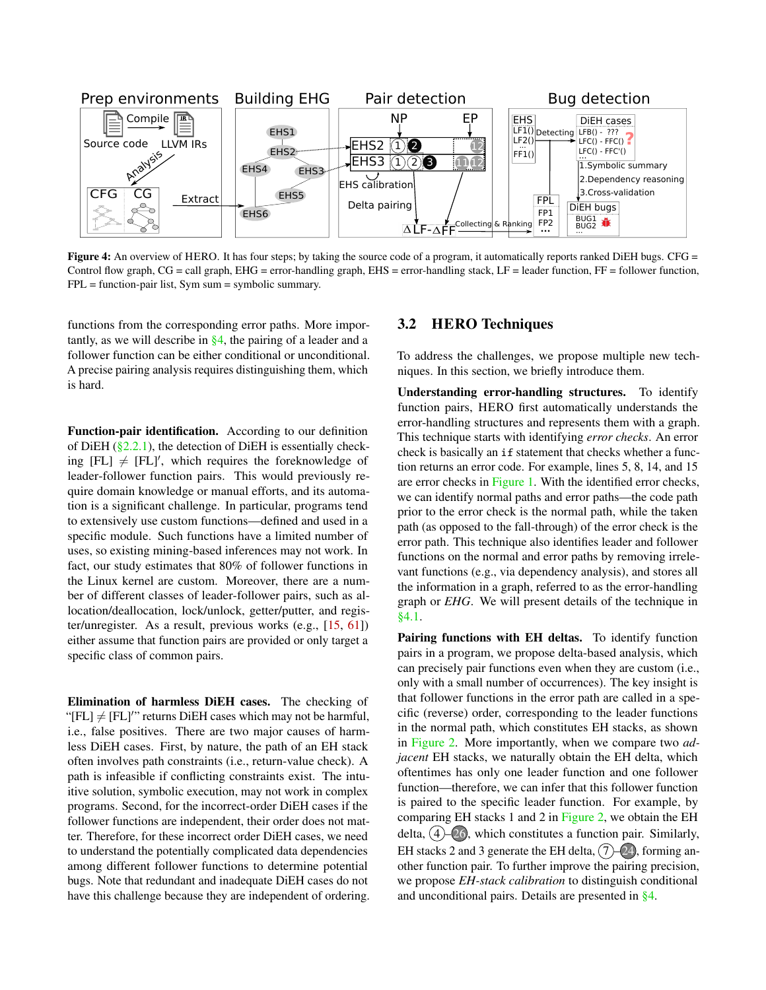<span id="page-5-0"></span>

Figure 4: An overview of HERO. It has four steps; by taking the source code of a program, it automatically reports ranked DiEH bugs. CFG = Control flow graph,  $CG = call$  graph,  $EHG = error$ -handling graph,  $EHS = error$ -handling stack,  $LF =$  leader function,  $FF =$  follower function, FPL = function-pair list, Sym sum = symbolic summary.

functions from the corresponding error paths. More importantly, as we will describe in [§4,](#page-6-0) the pairing of a leader and a follower function can be either conditional or unconditional. A precise pairing analysis requires distinguishing them, which is hard.

Function-pair identification. According to our definition of DiEH  $(\S$ 2.2.1), the detection of DiEH is essentially checking  $[FL] \neq [FL]'$ , which requires the foreknowledge of leader-follower function pairs. This would previously require domain knowledge or manual efforts, and its automation is a significant challenge. In particular, programs tend to extensively use custom functions—defined and used in a specific module. Such functions have a limited number of uses, so existing mining-based inferences may not work. In fact, our study estimates that 80% of follower functions in the Linux kernel are custom. Moreover, there are a number of different classes of leader-follower pairs, such as allocation/deallocation, lock/unlock, getter/putter, and register/unregister. As a result, previous works (e.g., [\[15,](#page-15-16) [61\]](#page-16-7)) either assume that function pairs are provided or only target a specific class of common pairs.

<span id="page-5-1"></span>Elimination of harmless DiEH cases. The checking of "[FL]  $\neq$  [FL]'" returns DiEH cases which may not be harmful, i.e., false positives. There are two major causes of harmless DiEH cases. First, by nature, the path of an EH stack often involves path constraints (i.e., return-value check). A path is infeasible if conflicting constraints exist. The intuitive solution, symbolic execution, may not work in complex programs. Second, for the incorrect-order DiEH cases if the follower functions are independent, their order does not matter. Therefore, for these incorrect order DiEH cases, we need to understand the potentially complicated data dependencies among different follower functions to determine potential bugs. Note that redundant and inadequate DiEH cases do not have this challenge because they are independent of ordering.

#### 3.2 HERO Techniques

To address the challenges, we propose multiple new techniques. In this section, we briefly introduce them.

Understanding error-handling structures. To identify function pairs, HERO first automatically understands the error-handling structures and represents them with a graph. This technique starts with identifying *error checks*. An error check is basically an if statement that checks whether a function returns an error code. For example, lines 5, 8, 14, and 15 are error checks in [Figure 1.](#page-2-0) With the identified error checks, we can identify normal paths and error paths—the code path prior to the error check is the normal path, while the taken path (as opposed to the fall-through) of the error check is the error path. This technique also identifies leader and follower functions on the normal and error paths by removing irrelevant functions (e.g., via dependency analysis), and stores all the information in a graph, referred to as the error-handling graph or *EHG*. We will present details of the technique in [§4.1.](#page-6-1)

Pairing functions with EH deltas. To identify function pairs in a program, we propose delta-based analysis, which can precisely pair functions even when they are custom (i.e., only with a small number of occurrences). The key insight is that follower functions in the error path are called in a specific (reverse) order, corresponding to the leader functions in the normal path, which constitutes EH stacks, as shown in [Figure 2.](#page-2-2) More importantly, when we compare two *adjacent* EH stacks, we naturally obtain the EH delta, which oftentimes has only one leader function and one follower function—therefore, we can infer that this follower function is paired to the specific leader function. For example, by comparing EH stacks 1 and 2 in [Figure 2,](#page-2-2) we obtain the EH delta,  $(4)$ – $(26)$ , which constitutes a function pair. Similarly, EH stacks 2 and 3 generate the EH delta,  $(7)$ –24, forming another function pair. To further improve the pairing precision, we propose *EH-stack calibration* to distinguish conditional and unconditional pairs. Details are presented in [§4.](#page-6-0)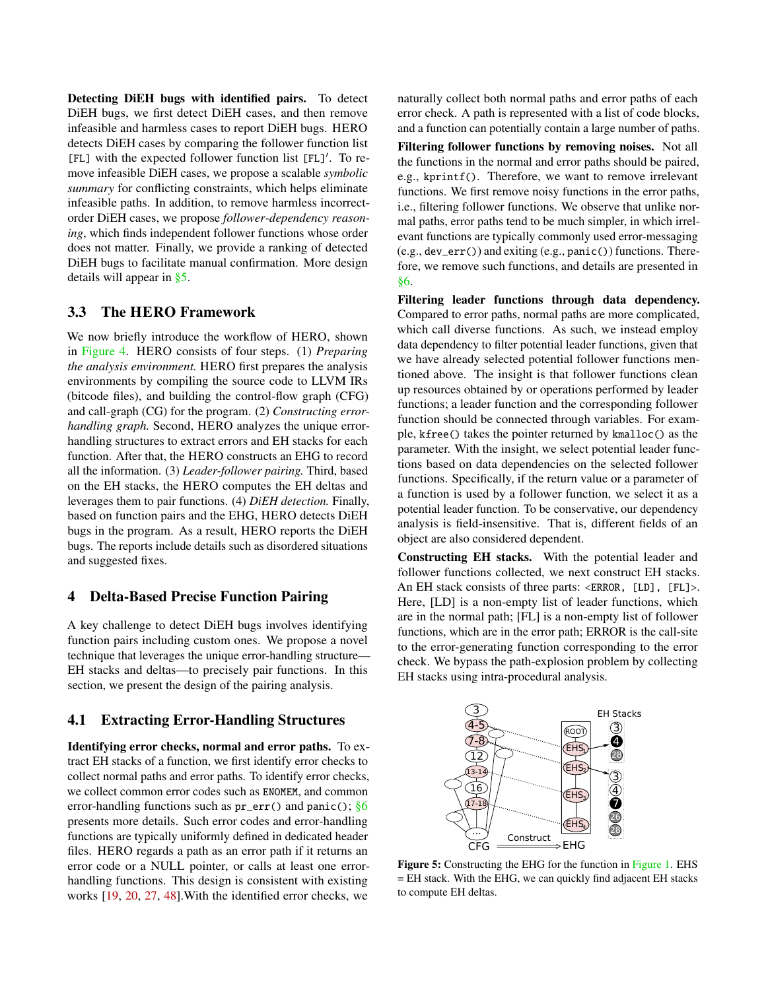Detecting DiEH bugs with identified pairs. To detect DiEH bugs, we first detect DiEH cases, and then remove infeasible and harmless cases to report DiEH bugs. HERO detects DiEH cases by comparing the follower function list [FL] with the expected follower function list [FL]′ . To remove infeasible DiEH cases, we propose a scalable *symbolic summary* for conflicting constraints, which helps eliminate infeasible paths. In addition, to remove harmless incorrectorder DiEH cases, we propose *follower-dependency reasoning*, which finds independent follower functions whose order does not matter. Finally, we provide a ranking of detected DiEH bugs to facilitate manual confirmation. More design details will appear in [§5.](#page-7-0)

# 3.3 The HERO Framework

We now briefly introduce the workflow of HERO, shown in [Figure 4.](#page-5-0) HERO consists of four steps. (1) *Preparing the analysis environment.* HERO first prepares the analysis environments by compiling the source code to LLVM IRs (bitcode files), and building the control-flow graph (CFG) and call-graph (CG) for the program. (2) *Constructing errorhandling graph.* Second, HERO analyzes the unique errorhandling structures to extract errors and EH stacks for each function. After that, the HERO constructs an EHG to record all the information. (3) *Leader-follower pairing.* Third, based on the EH stacks, the HERO computes the EH deltas and leverages them to pair functions. (4) *DiEH detection.* Finally, based on function pairs and the EHG, HERO detects DiEH bugs in the program. As a result, HERO reports the DiEH bugs. The reports include details such as disordered situations and suggested fixes.

# <span id="page-6-0"></span>4 Delta-Based Precise Function Pairing

A key challenge to detect DiEH bugs involves identifying function pairs including custom ones. We propose a novel technique that leverages the unique error-handling structure— EH stacks and deltas—to precisely pair functions. In this section, we present the design of the pairing analysis.

#### <span id="page-6-1"></span>4.1 Extracting Error-Handling Structures

Identifying error checks, normal and error paths. To extract EH stacks of a function, we first identify error checks to collect normal paths and error paths. To identify error checks, we collect common error codes such as ENOMEM, and common error-handling functions such as  $pr_error()$  and panic();  $§6$ presents more details. Such error codes and error-handling functions are typically uniformly defined in dedicated header files. HERO regards a path as an error path if it returns an error code or a NULL pointer, or calls at least one errorhandling functions. This design is consistent with existing works [\[19,](#page-15-5) [20,](#page-15-4) [27,](#page-15-17) [48\]](#page-16-5).With the identified error checks, we

naturally collect both normal paths and error paths of each error check. A path is represented with a list of code blocks, and a function can potentially contain a large number of paths.

Filtering follower functions by removing noises. Not all the functions in the normal and error paths should be paired, e.g., kprintf(). Therefore, we want to remove irrelevant functions. We first remove noisy functions in the error paths, i.e., filtering follower functions. We observe that unlike normal paths, error paths tend to be much simpler, in which irrelevant functions are typically commonly used error-messaging (e.g., dev\_err()) and exiting (e.g., panic()) functions. Therefore, we remove such functions, and details are presented in [§6.](#page-9-1)

Filtering leader functions through data dependency. Compared to error paths, normal paths are more complicated, which call diverse functions. As such, we instead employ data dependency to filter potential leader functions, given that we have already selected potential follower functions mentioned above. The insight is that follower functions clean up resources obtained by or operations performed by leader functions; a leader function and the corresponding follower function should be connected through variables. For example, kfree() takes the pointer returned by kmalloc() as the parameter. With the insight, we select potential leader functions based on data dependencies on the selected follower functions. Specifically, if the return value or a parameter of a function is used by a follower function, we select it as a potential leader function. To be conservative, our dependency analysis is field-insensitive. That is, different fields of an object are also considered dependent.

Constructing EH stacks. With the potential leader and follower functions collected, we next construct EH stacks. An EH stack consists of three parts: <ERROR, [LD], [FL]>. Here, [LD] is a non-empty list of leader functions, which are in the normal path; [FL] is a non-empty list of follower functions, which are in the error path; ERROR is the call-site to the error-generating function corresponding to the error check. We bypass the path-explosion problem by collecting EH stacks using intra-procedural analysis.

<span id="page-6-2"></span>

Figure 5: Constructing the EHG for the function in [Figure 1.](#page-2-0) EHS = EH stack. With the EHG, we can quickly find adjacent EH stacks to compute EH deltas.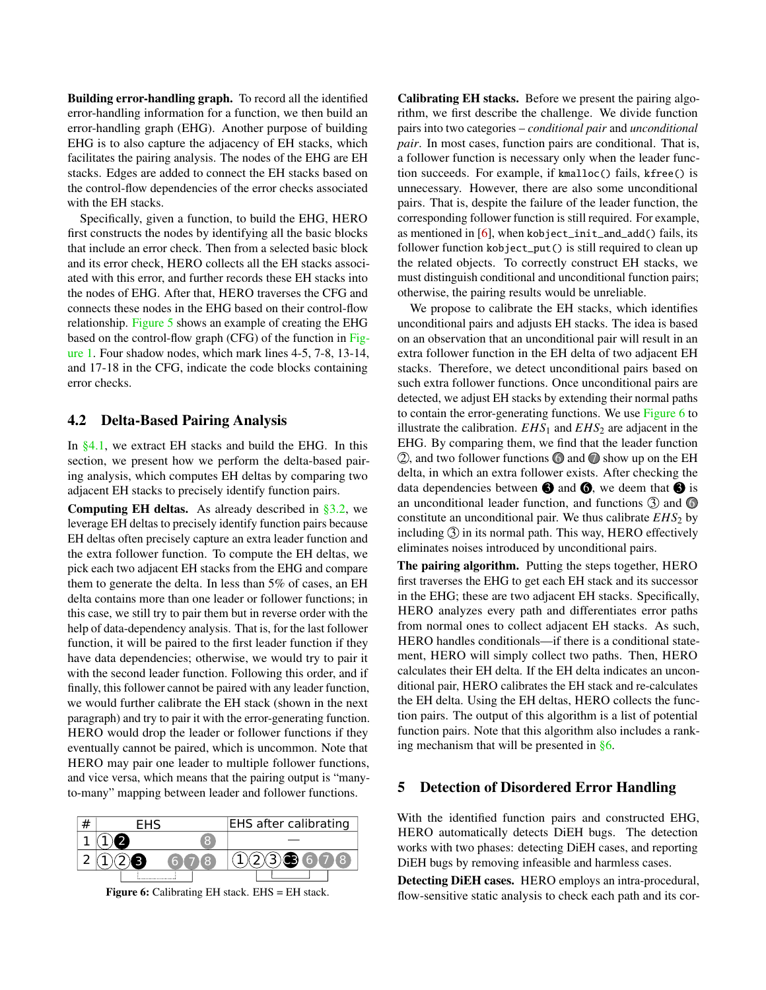Building error-handling graph. To record all the identified error-handling information for a function, we then build an error-handling graph (EHG). Another purpose of building EHG is to also capture the adjacency of EH stacks, which facilitates the pairing analysis. The nodes of the EHG are EH stacks. Edges are added to connect the EH stacks based on the control-flow dependencies of the error checks associated with the EH stacks.

Specifically, given a function, to build the EHG, HERO first constructs the nodes by identifying all the basic blocks that include an error check. Then from a selected basic block and its error check, HERO collects all the EH stacks associated with this error, and further records these EH stacks into the nodes of EHG. After that, HERO traverses the CFG and connects these nodes in the EHG based on their control-flow relationship. [Figure 5](#page-6-2) shows an example of creating the EHG based on the control-flow graph (CFG) of the function in [Fig](#page-2-0)[ure 1.](#page-2-0) Four shadow nodes, which mark lines 4-5, 7-8, 13-14, and 17-18 in the CFG, indicate the code blocks containing error checks.

#### 4.2 Delta-Based Pairing Analysis

In  $\S 4.1$ , we extract EH stacks and build the EHG. In this section, we present how we perform the delta-based pairing analysis, which computes EH deltas by comparing two adjacent EH stacks to precisely identify function pairs.

**Computing EH deltas.** As already described in  $\S 3.2$ , we leverage EH deltas to precisely identify function pairs because EH deltas often precisely capture an extra leader function and the extra follower function. To compute the EH deltas, we pick each two adjacent EH stacks from the EHG and compare them to generate the delta. In less than 5% of cases, an EH delta contains more than one leader or follower functions; in this case, we still try to pair them but in reverse order with the help of data-dependency analysis. That is, for the last follower function, it will be paired to the first leader function if they have data dependencies; otherwise, we would try to pair it with the second leader function. Following this order, and if finally, this follower cannot be paired with any leader function, we would further calibrate the EH stack (shown in the next paragraph) and try to pair it with the error-generating function. HERO would drop the leader or follower functions if they eventually cannot be paired, which is uncommon. Note that HERO may pair one leader to multiple follower functions, and vice versa, which means that the pairing output is "manyto-many" mapping between leader and follower functions.

<span id="page-7-1"></span>

Figure 6: Calibrating EH stack. EHS = EH stack.

Calibrating EH stacks. Before we present the pairing algorithm, we first describe the challenge. We divide function pairs into two categories – *conditional pair* and *unconditional pair*. In most cases, function pairs are conditional. That is, a follower function is necessary only when the leader function succeeds. For example, if kmalloc() fails, kfree() is unnecessary. However, there are also some unconditional pairs. That is, despite the failure of the leader function, the corresponding follower function is still required. For example, as mentioned in [\[6\]](#page-15-18), when kobject\_init\_and\_add() fails, its follower function kobject\_put() is still required to clean up the related objects. To correctly construct EH stacks, we must distinguish conditional and unconditional function pairs; otherwise, the pairing results would be unreliable.

We propose to calibrate the EH stacks, which identifies unconditional pairs and adjusts EH stacks. The idea is based on an observation that an unconditional pair will result in an extra follower function in the EH delta of two adjacent EH stacks. Therefore, we detect unconditional pairs based on such extra follower functions. Once unconditional pairs are detected, we adjust EH stacks by extending their normal paths to contain the error-generating functions. We use [Figure 6](#page-7-1) to illustrate the calibration.  $EHS_1$  and  $EHS_2$  are adjacent in the EHG. By comparing them, we find that the leader function  $(2)$ , and two follower functions  $\odot$  and  $\odot$  show up on the EH delta, in which an extra follower exists. After checking the data dependencies between  $\bigcirc$  and  $\bigcirc$ , we deem that  $\bigcirc$  is an unconditional leader function, and functions  $\circled{3}$  and  $\circled{6}$ constitute an unconditional pair. We thus calibrate  $EHS<sub>2</sub>$  by including  $\circled{3}$  in its normal path. This way, HERO effectively eliminates noises introduced by unconditional pairs.

The pairing algorithm. Putting the steps together, HERO first traverses the EHG to get each EH stack and its successor in the EHG; these are two adjacent EH stacks. Specifically, HERO analyzes every path and differentiates error paths from normal ones to collect adjacent EH stacks. As such, HERO handles conditionals—if there is a conditional statement, HERO will simply collect two paths. Then, HERO calculates their EH delta. If the EH delta indicates an unconditional pair, HERO calibrates the EH stack and re-calculates the EH delta. Using the EH deltas, HERO collects the function pairs. The output of this algorithm is a list of potential function pairs. Note that this algorithm also includes a ranking mechanism that will be presented in [§6.](#page-9-1)

#### <span id="page-7-0"></span>5 Detection of Disordered Error Handling

With the identified function pairs and constructed EHG, HERO automatically detects DiEH bugs. The detection works with two phases: detecting DiEH cases, and reporting DiEH bugs by removing infeasible and harmless cases.

Detecting DiEH cases. HERO employs an intra-procedural, flow-sensitive static analysis to check each path and its cor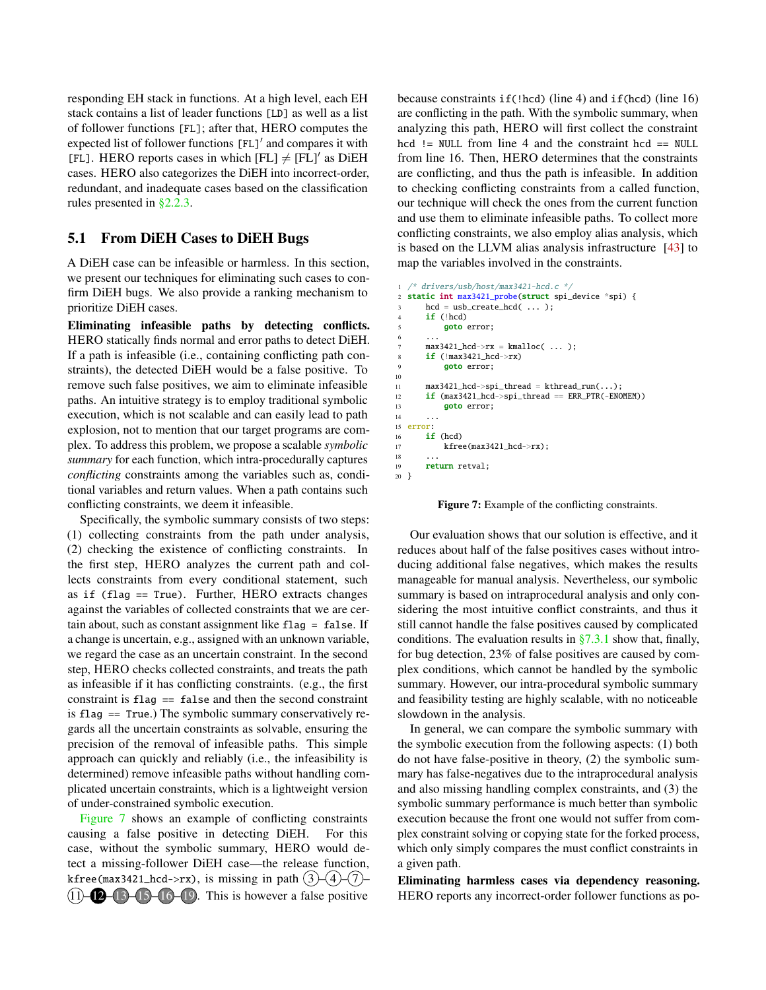responding EH stack in functions. At a high level, each EH stack contains a list of leader functions [LD] as well as a list of follower functions [FL]; after that, HERO computes the expected list of follower functions [FL]′ and compares it with [FL]. HERO reports cases in which  $[FL] \neq [FL]'$  as DiEH cases. HERO also categorizes the DiEH into incorrect-order, redundant, and inadequate cases based on the classification rules presented in [§2.2.3.](#page-3-1)

#### <span id="page-8-1"></span>5.1 From DiEH Cases to DiEH Bugs

A DiEH case can be infeasible or harmless. In this section, we present our techniques for eliminating such cases to confirm DiEH bugs. We also provide a ranking mechanism to prioritize DiEH cases.

Eliminating infeasible paths by detecting conflicts. HERO statically finds normal and error paths to detect DiEH. If a path is infeasible (i.e., containing conflicting path constraints), the detected DiEH would be a false positive. To remove such false positives, we aim to eliminate infeasible paths. An intuitive strategy is to employ traditional symbolic execution, which is not scalable and can easily lead to path explosion, not to mention that our target programs are complex. To address this problem, we propose a scalable *symbolic summary* for each function, which intra-procedurally captures *conflicting* constraints among the variables such as, conditional variables and return values. When a path contains such conflicting constraints, we deem it infeasible.

Specifically, the symbolic summary consists of two steps: (1) collecting constraints from the path under analysis, (2) checking the existence of conflicting constraints. In the first step, HERO analyzes the current path and collects constraints from every conditional statement, such as if (flag == True). Further, HERO extracts changes against the variables of collected constraints that we are certain about, such as constant assignment like flag = false. If a change is uncertain, e.g., assigned with an unknown variable, we regard the case as an uncertain constraint. In the second step, HERO checks collected constraints, and treats the path as infeasible if it has conflicting constraints. (e.g., the first constraint is  $flag = false$  and then the second constraint is flag == True.) The symbolic summary conservatively regards all the uncertain constraints as solvable, ensuring the precision of the removal of infeasible paths. This simple approach can quickly and reliably (i.e., the infeasibility is determined) remove infeasible paths without handling complicated uncertain constraints, which is a lightweight version of under-constrained symbolic execution.

[Figure 7](#page-8-0) shows an example of conflicting constraints causing a false positive in detecting DiEH. For this case, without the symbolic summary, HERO would detect a missing-follower DiEH case—the release function, kfree(max3421\_hcd->rx), is missing in path  $(3)$  – $(4)$ – $(7)$ –  $(11)$  –  $(12)$  –  $(13)$ – $(16)$ – $(19)$ . This is however a false positive

because constraints  $if(lhd)$  (line 4) and  $if(hcd)$  (line 16) are conflicting in the path. With the symbolic summary, when analyzing this path, HERO will first collect the constraint hcd  $!=$  NULL from line 4 and the constraint hcd  $==$  NULL from line 16. Then, HERO determines that the constraints are conflicting, and thus the path is infeasible. In addition to checking conflicting constraints from a called function, our technique will check the ones from the current function and use them to eliminate infeasible paths. To collect more conflicting constraints, we also employ alias analysis, which is based on the LLVM alias analysis infrastructure [\[43\]](#page-16-8) to map the variables involved in the constraints.

```
/* drivers/usb/host/max3421-hcd.c */static int max3421_probe(struct spi_device *spi) {
       hcd = usb\_create\_hcd( ... );if (|hcd)goto error;
 \begin{array}{ccc} 6 & & \dots \end{array}max3421\_hcd->rx = kmalloc( ... );if (lmax3421_{chcd} > rx)9 goto error;
10
11 max3421_hcd->spi_thread = kthread_run(...);
12 if (max3421_hcd->spi_thread == ERR_PTR(-ENOMEM))
13 goto error;
14 ...
15 error:
16 if (hcd)
17 kfree(max3421_hcd->rx);
18
19 return retval;
20 }
```
Figure 7: Example of the conflicting constraints.

Our evaluation shows that our solution is effective, and it reduces about half of the false positives cases without introducing additional false negatives, which makes the results manageable for manual analysis. Nevertheless, our symbolic summary is based on intraprocedural analysis and only considering the most intuitive conflict constraints, and thus it still cannot handle the false positives caused by complicated conditions. The evaluation results in  $\S 7.3.1$  show that, finally, for bug detection, 23% of false positives are caused by complex conditions, which cannot be handled by the symbolic summary. However, our intra-procedural symbolic summary and feasibility testing are highly scalable, with no noticeable slowdown in the analysis.

In general, we can compare the symbolic summary with the symbolic execution from the following aspects: (1) both do not have false-positive in theory, (2) the symbolic summary has false-negatives due to the intraprocedural analysis and also missing handling complex constraints, and (3) the symbolic summary performance is much better than symbolic execution because the front one would not suffer from complex constraint solving or copying state for the forked process, which only simply compares the must conflict constraints in a given path.

Eliminating harmless cases via dependency reasoning. HERO reports any incorrect-order follower functions as po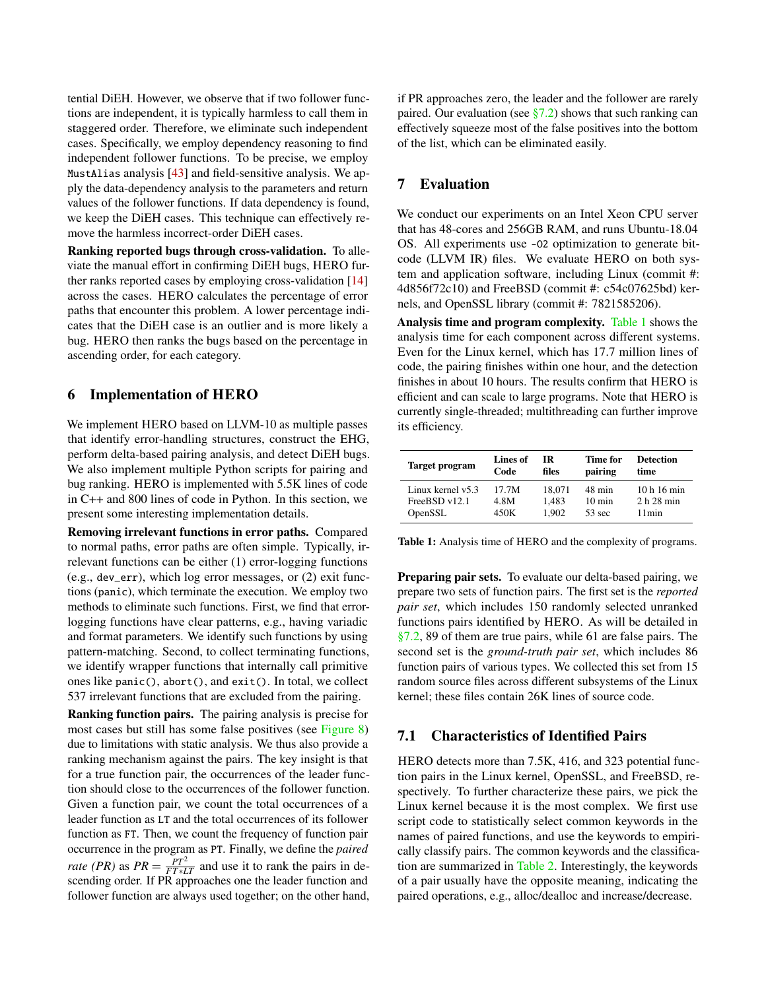tential DiEH. However, we observe that if two follower functions are independent, it is typically harmless to call them in staggered order. Therefore, we eliminate such independent cases. Specifically, we employ dependency reasoning to find independent follower functions. To be precise, we employ MustAlias analysis [\[43\]](#page-16-8) and field-sensitive analysis. We apply the data-dependency analysis to the parameters and return values of the follower functions. If data dependency is found, we keep the DiEH cases. This technique can effectively remove the harmless incorrect-order DiEH cases.

Ranking reported bugs through cross-validation. To alleviate the manual effort in confirming DiEH bugs, HERO further ranks reported cases by employing cross-validation [\[14\]](#page-15-19) across the cases. HERO calculates the percentage of error paths that encounter this problem. A lower percentage indicates that the DiEH case is an outlier and is more likely a bug. HERO then ranks the bugs based on the percentage in ascending order, for each category.

#### <span id="page-9-1"></span>6 Implementation of HERO

We implement HERO based on LLVM-10 as multiple passes that identify error-handling structures, construct the EHG, perform delta-based pairing analysis, and detect DiEH bugs. We also implement multiple Python scripts for pairing and bug ranking. HERO is implemented with 5.5K lines of code in C++ and 800 lines of code in Python. In this section, we present some interesting implementation details.

Removing irrelevant functions in error paths. Compared to normal paths, error paths are often simple. Typically, irrelevant functions can be either (1) error-logging functions (e.g., dev\_err), which log error messages, or (2) exit functions (panic), which terminate the execution. We employ two methods to eliminate such functions. First, we find that errorlogging functions have clear patterns, e.g., having variadic and format parameters. We identify such functions by using pattern-matching. Second, to collect terminating functions, we identify wrapper functions that internally call primitive ones like panic(), abort(), and exit(). In total, we collect 537 irrelevant functions that are excluded from the pairing.

Ranking function pairs. The pairing analysis is precise for most cases but still has some false positives (see [Figure 8\)](#page-10-0) due to limitations with static analysis. We thus also provide a ranking mechanism against the pairs. The key insight is that for a true function pair, the occurrences of the leader function should close to the occurrences of the follower function. Given a function pair, we count the total occurrences of a leader function as LT and the total occurrences of its follower function as FT. Then, we count the frequency of function pair occurrence in the program as PT. Finally, we define the *paired rate (PR)* as  $PR = \frac{PT^2}{FT * LT}$  and use it to rank the pairs in descending order. If PR approaches one the leader function and follower function are always used together; on the other hand,

if PR approaches zero, the leader and the follower are rarely paired. Our evaluation (see  $\S 7.2$ ) shows that such ranking can effectively squeeze most of the false positives into the bottom of the list, which can be eliminated easily.

# 7 Evaluation

We conduct our experiments on an Intel Xeon CPU server that has 48-cores and 256GB RAM, and runs Ubuntu-18.04 OS. All experiments use -O2 optimization to generate bitcode (LLVM IR) files. We evaluate HERO on both system and application software, including Linux (commit #: 4d856f72c10) and FreeBSD (commit #: c54c07625bd) kernels, and OpenSSL library (commit #: 7821585206).

Analysis time and program complexity. [Table 1](#page-9-2) shows the analysis time for each component across different systems. Even for the Linux kernel, which has 17.7 million lines of code, the pairing finishes within one hour, and the detection finishes in about 10 hours. The results confirm that HERO is efficient and can scale to large programs. Note that HERO is currently single-threaded; multithreading can further improve its efficiency.

<span id="page-9-2"></span>

| Target program      | Lines of | IR     | Time for         | <b>Detection</b> |  |
|---------------------|----------|--------|------------------|------------------|--|
|                     | Code     | files  | pairing          | time             |  |
| Linux kernel $v5.3$ | 17.7M    | 18.071 | 48 min           | 10h16min         |  |
| FreeBSD v12.1       | 4.8M     | 1.483  | $10 \text{ min}$ | 2h28min          |  |
| OpenSSL             | 450K     | 1.902  | $53 \text{ sec}$ | 11min            |  |

Table 1: Analysis time of HERO and the complexity of programs.

Preparing pair sets. To evaluate our delta-based pairing, we prepare two sets of function pairs. The first set is the *reported pair set*, which includes 150 randomly selected unranked functions pairs identified by HERO. As will be detailed in [§7.2,](#page-10-1) 89 of them are true pairs, while 61 are false pairs. The second set is the *ground-truth pair set*, which includes 86 function pairs of various types. We collected this set from 15 random source files across different subsystems of the Linux kernel; these files contain 26K lines of source code.

# <span id="page-9-0"></span>7.1 Characteristics of Identified Pairs

HERO detects more than 7.5K, 416, and 323 potential function pairs in the Linux kernel, OpenSSL, and FreeBSD, respectively. To further characterize these pairs, we pick the Linux kernel because it is the most complex. We first use script code to statistically select common keywords in the names of paired functions, and use the keywords to empirically classify pairs. The common keywords and the classification are summarized in [Table 2.](#page-10-2) Interestingly, the keywords of a pair usually have the opposite meaning, indicating the paired operations, e.g., alloc/dealloc and increase/decrease.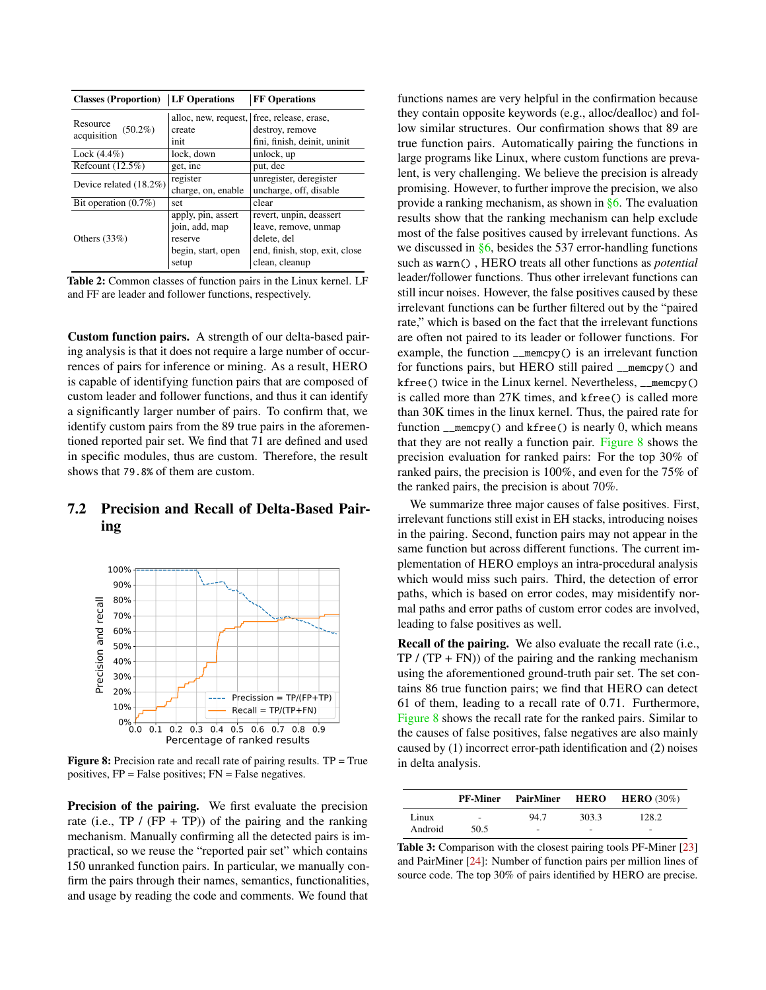<span id="page-10-2"></span>

| <b>Classes (Proportion)</b> | <b>LF</b> Operations | <b>FF Operations</b>                       |  |
|-----------------------------|----------------------|--------------------------------------------|--|
| Resource                    |                      | alloc, new, request, free, release, erase, |  |
| $(50.2\%)$<br>acquisition   | create               | destroy, remove                            |  |
|                             | init                 | fini, finish, deinit, uninit               |  |
| $Lock (4.4\%)$              | lock, down           | unlock, up                                 |  |
| Refcount $(12.5\%)$         | get, inc             | put, dec                                   |  |
| Device related (18.2%)      | register             | unregister, deregister                     |  |
|                             | charge, on, enable   | uncharge, off, disable                     |  |
| Bit operation $(0.7\%)$     | set                  | clear                                      |  |
|                             | apply, pin, assert   | revert, unpin, deassert                    |  |
|                             | join, add, map       | leave, remove, unmap                       |  |
| Others $(33%)$              | reserve              | delete, del                                |  |
|                             | begin, start, open   | end, finish, stop, exit, close             |  |
|                             | setup                | clean, cleanup                             |  |

Table 2: Common classes of function pairs in the Linux kernel. LF and FF are leader and follower functions, respectively.

Custom function pairs. A strength of our delta-based pairing analysis is that it does not require a large number of occurrences of pairs for inference or mining. As a result, HERO is capable of identifying function pairs that are composed of custom leader and follower functions, and thus it can identify a significantly larger number of pairs. To confirm that, we identify custom pairs from the 89 true pairs in the aforementioned reported pair set. We find that 71 are defined and used in specific modules, thus are custom. Therefore, the result shows that 79.8% of them are custom.

# <span id="page-10-1"></span>7.2 Precision and Recall of Delta-Based Pairing

<span id="page-10-0"></span>

**Figure 8:** Precision rate and recall rate of pairing results.  $TP = True$ positives, FP = False positives; FN = False negatives.

Precision of the pairing. We first evaluate the precision rate (i.e., TP / (FP + TP)) of the pairing and the ranking mechanism. Manually confirming all the detected pairs is impractical, so we reuse the "reported pair set" which contains 150 unranked function pairs. In particular, we manually confirm the pairs through their names, semantics, functionalities, and usage by reading the code and comments. We found that

functions names are very helpful in the confirmation because they contain opposite keywords (e.g., alloc/dealloc) and follow similar structures. Our confirmation shows that 89 are true function pairs. Automatically pairing the functions in large programs like Linux, where custom functions are prevalent, is very challenging. We believe the precision is already promising. However, to further improve the precision, we also provide a ranking mechanism, as shown in [§6.](#page-9-1) The evaluation results show that the ranking mechanism can help exclude most of the false positives caused by irrelevant functions. As we discussed in [§6,](#page-9-1) besides the 537 error-handling functions such as warn() , HERO treats all other functions as *potential* leader/follower functions. Thus other irrelevant functions can still incur noises. However, the false positives caused by these irrelevant functions can be further filtered out by the "paired rate," which is based on the fact that the irrelevant functions are often not paired to its leader or follower functions. For example, the function \_\_memcpy() is an irrelevant function for functions pairs, but HERO still paired \_\_memcpy() and kfree() twice in the Linux kernel. Nevertheless, \_\_memcpy() is called more than 27K times, and kfree() is called more than 30K times in the linux kernel. Thus, the paired rate for function \_\_memcpy() and kfree() is nearly 0, which means that they are not really a function pair. [Figure 8](#page-10-0) shows the precision evaluation for ranked pairs: For the top 30% of ranked pairs, the precision is 100%, and even for the 75% of the ranked pairs, the precision is about 70%.

We summarize three major causes of false positives. First, irrelevant functions still exist in EH stacks, introducing noises in the pairing. Second, function pairs may not appear in the same function but across different functions. The current implementation of HERO employs an intra-procedural analysis which would miss such pairs. Third, the detection of error paths, which is based on error codes, may misidentify normal paths and error paths of custom error codes are involved, leading to false positives as well.

Recall of the pairing. We also evaluate the recall rate (i.e.,  $TP / (TP + FN)$  of the pairing and the ranking mechanism using the aforementioned ground-truth pair set. The set contains 86 true function pairs; we find that HERO can detect 61 of them, leading to a recall rate of 0.71. Furthermore, [Figure 8](#page-10-0) shows the recall rate for the ranked pairs. Similar to the causes of false positives, false negatives are also mainly caused by (1) incorrect error-path identification and (2) noises in delta analysis.

<span id="page-10-3"></span>

|         | <b>PF-Miner</b> |      |       | <b>PairMiner HERO HERO</b> (30%) |
|---------|-----------------|------|-------|----------------------------------|
| Linux   | $\sim$          | 94.7 | 303.3 | 128.2                            |
| Android | 50.5            | ۰    | ۰     | -                                |

Table 3: Comparison with the closest pairing tools PF-Miner [\[23\]](#page-15-20) and PairMiner [\[24\]](#page-15-21): Number of function pairs per million lines of source code. The top 30% of pairs identified by HERO are precise.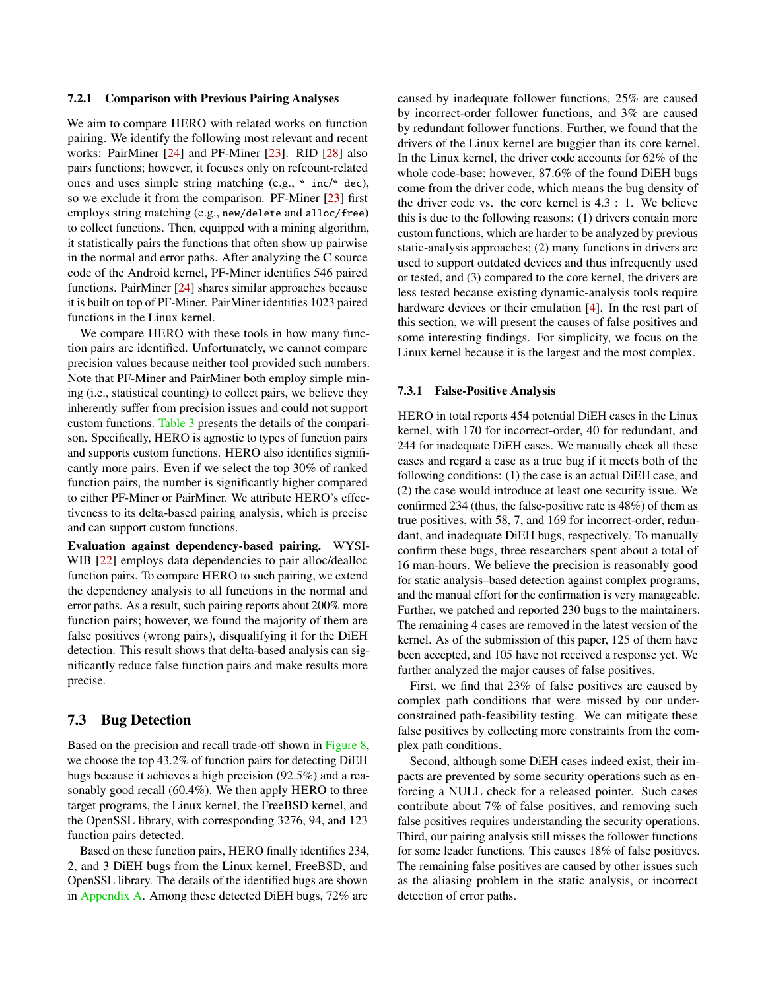#### 7.2.1 Comparison with Previous Pairing Analyses

We aim to compare HERO with related works on function pairing. We identify the following most relevant and recent works: PairMiner [\[24\]](#page-15-21) and PF-Miner [\[23\]](#page-15-20). RID [\[28\]](#page-15-6) also pairs functions; however, it focuses only on refcount-related ones and uses simple string matching (e.g., \*\_inc/\*\_dec), so we exclude it from the comparison. PF-Miner [\[23\]](#page-15-20) first employs string matching (e.g., new/delete and alloc/free) to collect functions. Then, equipped with a mining algorithm, it statistically pairs the functions that often show up pairwise in the normal and error paths. After analyzing the C source code of the Android kernel, PF-Miner identifies 546 paired functions. PairMiner [\[24\]](#page-15-21) shares similar approaches because it is built on top of PF-Miner. PairMiner identifies 1023 paired functions in the Linux kernel.

We compare HERO with these tools in how many function pairs are identified. Unfortunately, we cannot compare precision values because neither tool provided such numbers. Note that PF-Miner and PairMiner both employ simple mining (i.e., statistical counting) to collect pairs, we believe they inherently suffer from precision issues and could not support custom functions. [Table 3](#page-10-3) presents the details of the comparison. Specifically, HERO is agnostic to types of function pairs and supports custom functions. HERO also identifies significantly more pairs. Even if we select the top 30% of ranked function pairs, the number is significantly higher compared to either PF-Miner or PairMiner. We attribute HERO's effectiveness to its delta-based pairing analysis, which is precise and can support custom functions.

Evaluation against dependency-based pairing. WYSI-WIB [\[22\]](#page-15-22) employs data dependencies to pair alloc/dealloc function pairs. To compare HERO to such pairing, we extend the dependency analysis to all functions in the normal and error paths. As a result, such pairing reports about 200% more function pairs; however, we found the majority of them are false positives (wrong pairs), disqualifying it for the DiEH detection. This result shows that delta-based analysis can significantly reduce false function pairs and make results more precise.

#### 7.3 Bug Detection

Based on the precision and recall trade-off shown in [Figure 8,](#page-10-0) we choose the top 43.2% of function pairs for detecting DiEH bugs because it achieves a high precision (92.5%) and a reasonably good recall (60.4%). We then apply HERO to three target programs, the Linux kernel, the FreeBSD kernel, and the OpenSSL library, with corresponding 3276, 94, and 123 function pairs detected.

Based on these function pairs, HERO finally identifies 234, 2, and 3 DiEH bugs from the Linux kernel, FreeBSD, and OpenSSL library. The details of the identified bugs are shown in [Appendix A.](#page-16-9) Among these detected DiEH bugs, 72% are

caused by inadequate follower functions, 25% are caused by incorrect-order follower functions, and 3% are caused by redundant follower functions. Further, we found that the drivers of the Linux kernel are buggier than its core kernel. In the Linux kernel, the driver code accounts for 62% of the whole code-base; however, 87.6% of the found DiEH bugs come from the driver code, which means the bug density of the driver code vs. the core kernel is 4.3 : 1. We believe this is due to the following reasons: (1) drivers contain more custom functions, which are harder to be analyzed by previous static-analysis approaches; (2) many functions in drivers are used to support outdated devices and thus infrequently used or tested, and (3) compared to the core kernel, the drivers are less tested because existing dynamic-analysis tools require hardware devices or their emulation [\[4\]](#page-15-23). In the rest part of this section, we will present the causes of false positives and some interesting findings. For simplicity, we focus on the Linux kernel because it is the largest and the most complex.

#### <span id="page-11-0"></span>7.3.1 False-Positive Analysis

HERO in total reports 454 potential DiEH cases in the Linux kernel, with 170 for incorrect-order, 40 for redundant, and 244 for inadequate DiEH cases. We manually check all these cases and regard a case as a true bug if it meets both of the following conditions: (1) the case is an actual DiEH case, and (2) the case would introduce at least one security issue. We confirmed 234 (thus, the false-positive rate is 48%) of them as true positives, with 58, 7, and 169 for incorrect-order, redundant, and inadequate DiEH bugs, respectively. To manually confirm these bugs, three researchers spent about a total of 16 man-hours. We believe the precision is reasonably good for static analysis–based detection against complex programs, and the manual effort for the confirmation is very manageable. Further, we patched and reported 230 bugs to the maintainers. The remaining 4 cases are removed in the latest version of the kernel. As of the submission of this paper, 125 of them have been accepted, and 105 have not received a response yet. We further analyzed the major causes of false positives.

First, we find that 23% of false positives are caused by complex path conditions that were missed by our underconstrained path-feasibility testing. We can mitigate these false positives by collecting more constraints from the complex path conditions.

Second, although some DiEH cases indeed exist, their impacts are prevented by some security operations such as enforcing a NULL check for a released pointer. Such cases contribute about 7% of false positives, and removing such false positives requires understanding the security operations. Third, our pairing analysis still misses the follower functions for some leader functions. This causes 18% of false positives. The remaining false positives are caused by other issues such as the aliasing problem in the static analysis, or incorrect detection of error paths.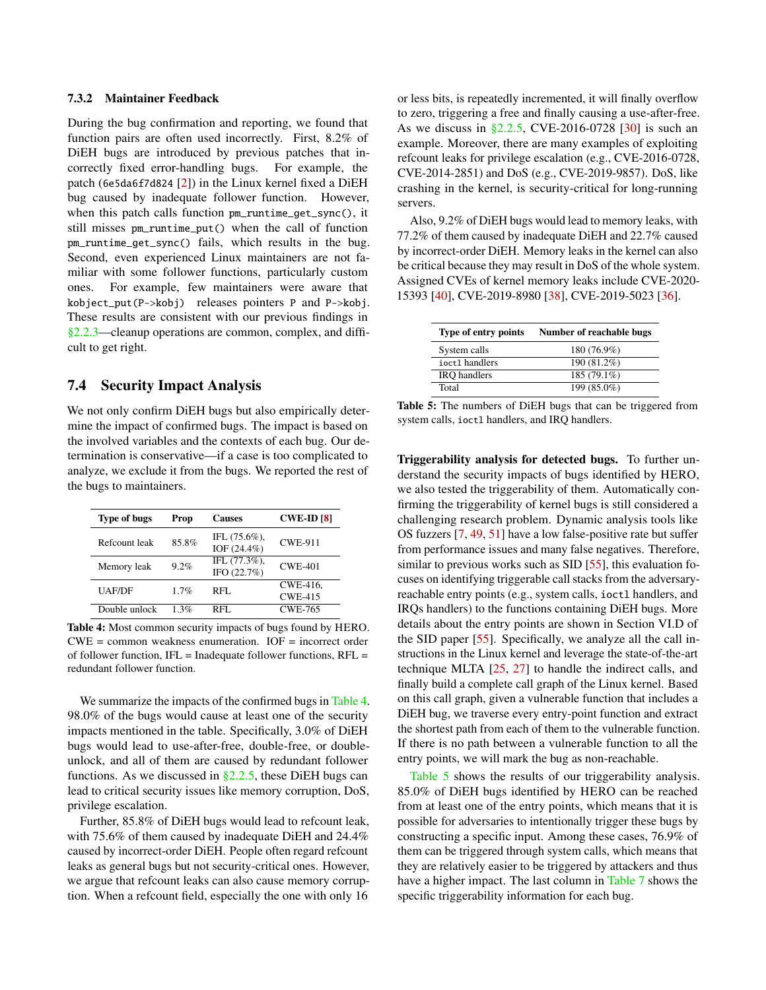#### 7.3.2 Maintainer Feedback

During the bug confirmation and reporting, we found that function pairs are often used incorrectly. First, 8.2% of DiEH bugs are introduced by previous patches that incorrectly fixed error-handling bugs. For example, the patch (6e5da6f7d824 [\[2\]](#page-15-24)) in the Linux kernel fixed a DiEH bug caused by inadequate follower function. However, when this patch calls function pm\_runtime\_get\_sync(), it still misses pm\_runtime\_put() when the call of function pm\_runtime\_get\_sync() fails, which results in the bug. Second, even experienced Linux maintainers are not familiar with some follower functions, particularly custom ones. For example, few maintainers were aware that kobject\_put(P->kobj) releases pointers P and P->kobj. These results are consistent with our previous findings in [§2.2.3—](#page-3-1)cleanup operations are common, complex, and difficult to get right.

## 7.4 Security Impact Analysis

We not only confirm DiEH bugs but also empirically determine the impact of confirmed bugs. The impact is based on the involved variables and the contexts of each bug. Our determination is conservative—if a case is too complicated to analyze, we exclude it from the bugs. We reported the rest of the bugs to maintainers.

<span id="page-12-0"></span>

| <b>Type of bugs</b> | Prop    | <b>Causes</b>                     | <b>CWE-ID [8]</b>          |
|---------------------|---------|-----------------------------------|----------------------------|
| Refcount leak       | 85.8%   | IFL $(75.6\%)$ .<br>IOF (24.4%)   | <b>CWE-911</b>             |
| Memory leak         | 9.2%    | IFL $(77.3\%)$ ,<br>IFO $(22.7%)$ | <b>CWE-401</b>             |
| UAF/DF              | $1.7\%$ | RFL.                              | CWE-416.<br><b>CWE-415</b> |
| Double unlock       | 1.3%    | RFL.                              | <b>CWE-765</b>             |

Table 4: Most common security impacts of bugs found by HERO.  $CWE =$  common weakness enumeration.  $IOF =$  incorrect order of follower function,  $IFL = \text{Indeeduate follower functions}, \text{RFL} =$ redundant follower function.

We summarize the impacts of the confirmed bugs in [Table 4.](#page-12-0) 98.0% of the bugs would cause at least one of the security impacts mentioned in the table. Specifically, 3.0% of DiEH bugs would lead to use-after-free, double-free, or doubleunlock, and all of them are caused by redundant follower functions. As we discussed in  $\S2.2.5$ , these DiEH bugs can lead to critical security issues like memory corruption, DoS, privilege escalation.

Further, 85.8% of DiEH bugs would lead to refcount leak, with 75.6% of them caused by inadequate DiEH and 24.4% caused by incorrect-order DiEH. People often regard refcount leaks as general bugs but not security-critical ones. However, we argue that refcount leaks can also cause memory corruption. When a refcount field, especially the one with only 16

or less bits, is repeatedly incremented, it will finally overflow to zero, triggering a free and finally causing a use-after-free. As we discuss in  $\S 2.2.5$ , CVE-2016-0728 [\[30\]](#page-15-11) is such an example. Moreover, there are many examples of exploiting refcount leaks for privilege escalation (e.g., CVE-2016-0728, CVE-2014-2851) and DoS (e.g., CVE-2019-9857). DoS, like crashing in the kernel, is security-critical for long-running servers.

Also, 9.2% of DiEH bugs would lead to memory leaks, with 77.2% of them caused by inadequate DiEH and 22.7% caused by incorrect-order DiEH. Memory leaks in the kernel can also be critical because they may result in DoS of the whole system. Assigned CVEs of kernel memory leaks include CVE-2020- 15393 [\[40\]](#page-16-10), CVE-2019-8980 [\[38\]](#page-15-26), CVE-2019-5023 [\[36\]](#page-15-27).

<span id="page-12-1"></span>

| Type of entry points | Number of reachable bugs |
|----------------------|--------------------------|
| System calls         | 180 (76.9%)              |
| ioct1 handlers       | 190 (81.2%)              |
| <b>IRO</b> handlers  | 185 (79.1%)              |
| Total                | 199 (85.0%)              |

Table 5: The numbers of DiEH bugs that can be triggered from system calls, ioctl handlers, and IRQ handlers.

Triggerability analysis for detected bugs. To further understand the security impacts of bugs identified by HERO, we also tested the triggerability of them. Automatically confirming the triggerability of kernel bugs is still considered a challenging research problem. Dynamic analysis tools like OS fuzzers [\[7,](#page-15-28) [49,](#page-16-11) [51\]](#page-16-12) have a low false-positive rate but suffer from performance issues and many false negatives. Therefore, similar to previous works such as SID [\[55\]](#page-16-13), this evaluation focuses on identifying triggerable call stacks from the adversaryreachable entry points (e.g., system calls, ioctl handlers, and IRQs handlers) to the functions containing DiEH bugs. More details about the entry points are shown in Section VI.D of the SID paper [\[55\]](#page-16-13). Specifically, we analyze all the call instructions in the Linux kernel and leverage the state-of-the-art technique MLTA [\[25,](#page-15-29) [27\]](#page-15-17) to handle the indirect calls, and finally build a complete call graph of the Linux kernel. Based on this call graph, given a vulnerable function that includes a DiEH bug, we traverse every entry-point function and extract the shortest path from each of them to the vulnerable function. If there is no path between a vulnerable function to all the entry points, we will mark the bug as non-reachable.

[Table 5](#page-12-1) shows the results of our triggerability analysis. 85.0% of DiEH bugs identified by HERO can be reached from at least one of the entry points, which means that it is possible for adversaries to intentionally trigger these bugs by constructing a specific input. Among these cases, 76.9% of them can be triggered through system calls, which means that they are relatively easier to be triggered by attackers and thus have a higher impact. The last column in [Table 7](#page-16-14) shows the specific triggerability information for each bug.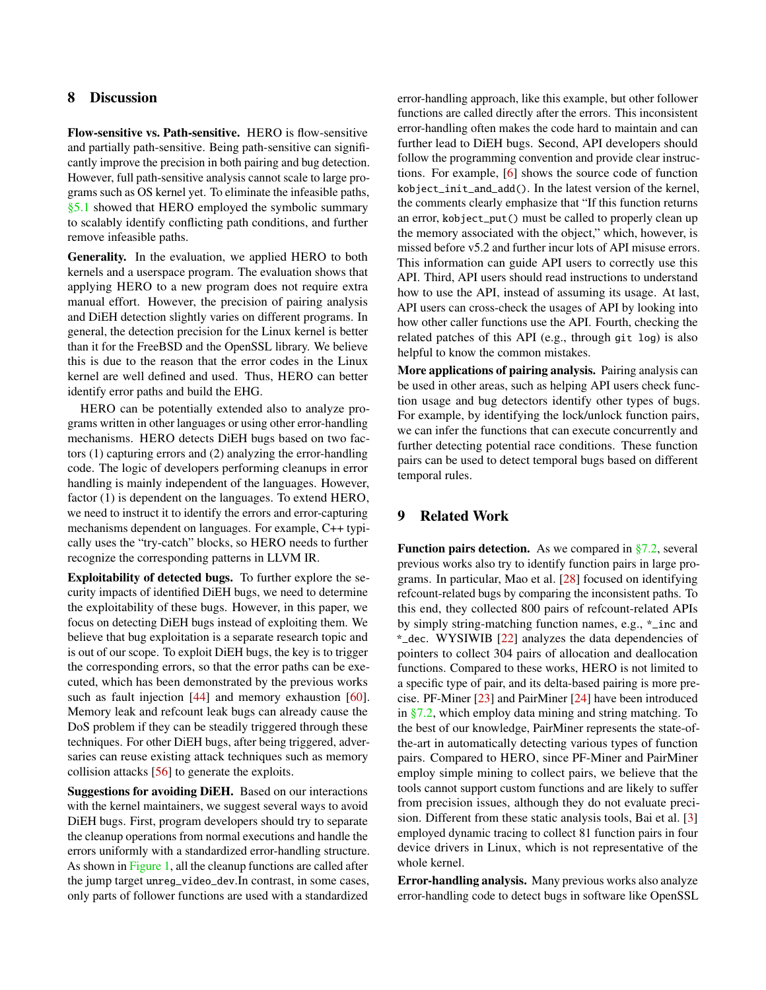# 8 Discussion

Flow-sensitive vs. Path-sensitive. HERO is flow-sensitive and partially path-sensitive. Being path-sensitive can significantly improve the precision in both pairing and bug detection. However, full path-sensitive analysis cannot scale to large programs such as OS kernel yet. To eliminate the infeasible paths, [§5.1](#page-8-1) showed that HERO employed the symbolic summary to scalably identify conflicting path conditions, and further remove infeasible paths.

Generality. In the evaluation, we applied HERO to both kernels and a userspace program. The evaluation shows that applying HERO to a new program does not require extra manual effort. However, the precision of pairing analysis and DiEH detection slightly varies on different programs. In general, the detection precision for the Linux kernel is better than it for the FreeBSD and the OpenSSL library. We believe this is due to the reason that the error codes in the Linux kernel are well defined and used. Thus, HERO can better identify error paths and build the EHG.

HERO can be potentially extended also to analyze programs written in other languages or using other error-handling mechanisms. HERO detects DiEH bugs based on two factors (1) capturing errors and (2) analyzing the error-handling code. The logic of developers performing cleanups in error handling is mainly independent of the languages. However, factor (1) is dependent on the languages. To extend HERO, we need to instruct it to identify the errors and error-capturing mechanisms dependent on languages. For example, C++ typically uses the "try-catch" blocks, so HERO needs to further recognize the corresponding patterns in LLVM IR.

Exploitability of detected bugs. To further explore the security impacts of identified DiEH bugs, we need to determine the exploitability of these bugs. However, in this paper, we focus on detecting DiEH bugs instead of exploiting them. We believe that bug exploitation is a separate research topic and is out of our scope. To exploit DiEH bugs, the key is to trigger the corresponding errors, so that the error paths can be executed, which has been demonstrated by the previous works such as fault injection [\[44\]](#page-16-2) and memory exhaustion [\[60\]](#page-16-1). Memory leak and refcount leak bugs can already cause the DoS problem if they can be steadily triggered through these techniques. For other DiEH bugs, after being triggered, adversaries can reuse existing attack techniques such as memory collision attacks [\[56\]](#page-16-15) to generate the exploits.

Suggestions for avoiding DiEH. Based on our interactions with the kernel maintainers, we suggest several ways to avoid DiEH bugs. First, program developers should try to separate the cleanup operations from normal executions and handle the errors uniformly with a standardized error-handling structure. As shown in [Figure 1,](#page-2-0) all the cleanup functions are called after the jump target unreg\_video\_dev.In contrast, in some cases, only parts of follower functions are used with a standardized

error-handling approach, like this example, but other follower functions are called directly after the errors. This inconsistent error-handling often makes the code hard to maintain and can further lead to DiEH bugs. Second, API developers should follow the programming convention and provide clear instructions. For example, [\[6\]](#page-15-18) shows the source code of function kobject\_init\_and\_add(). In the latest version of the kernel, the comments clearly emphasize that "If this function returns an error, kobject\_put() must be called to properly clean up the memory associated with the object," which, however, is missed before v5.2 and further incur lots of API misuse errors. This information can guide API users to correctly use this API. Third, API users should read instructions to understand how to use the API, instead of assuming its usage. At last, API users can cross-check the usages of API by looking into how other caller functions use the API. Fourth, checking the related patches of this API (e.g., through git log) is also helpful to know the common mistakes.

More applications of pairing analysis. Pairing analysis can be used in other areas, such as helping API users check function usage and bug detectors identify other types of bugs. For example, by identifying the lock/unlock function pairs, we can infer the functions that can execute concurrently and further detecting potential race conditions. These function pairs can be used to detect temporal bugs based on different temporal rules.

# 9 Related Work

**Function pairs detection.** As we compared in  $\S$ 7.2, several previous works also try to identify function pairs in large programs. In particular, Mao et al. [\[28\]](#page-15-6) focused on identifying refcount-related bugs by comparing the inconsistent paths. To this end, they collected 800 pairs of refcount-related APIs by simply string-matching function names, e.g., \*\_inc and \*\_dec. WYSIWIB [\[22\]](#page-15-22) analyzes the data dependencies of pointers to collect 304 pairs of allocation and deallocation functions. Compared to these works, HERO is not limited to a specific type of pair, and its delta-based pairing is more precise. PF-Miner [\[23\]](#page-15-20) and PairMiner [\[24\]](#page-15-21) have been introduced in [§7.2,](#page-10-1) which employ data mining and string matching. To the best of our knowledge, PairMiner represents the state-ofthe-art in automatically detecting various types of function pairs. Compared to HERO, since PF-Miner and PairMiner employ simple mining to collect pairs, we believe that the tools cannot support custom functions and are likely to suffer from precision issues, although they do not evaluate precision. Different from these static analysis tools, Bai et al. [\[3\]](#page-15-30) employed dynamic tracing to collect 81 function pairs in four device drivers in Linux, which is not representative of the whole kernel.

Error-handling analysis. Many previous works also analyze error-handling code to detect bugs in software like OpenSSL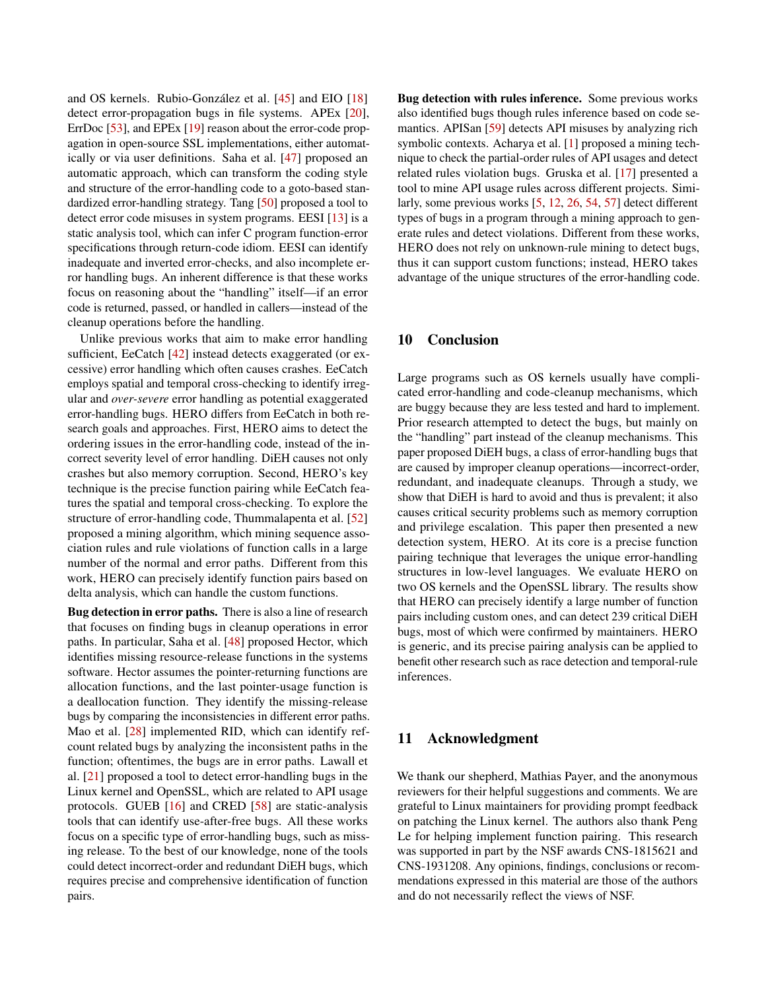and OS kernels. Rubio-González et al. [\[45\]](#page-16-3) and EIO [\[18\]](#page-15-0) detect error-propagation bugs in file systems. APEx [\[20\]](#page-15-4), ErrDoc [\[53\]](#page-16-4), and EPEx [\[19\]](#page-15-5) reason about the error-code propagation in open-source SSL implementations, either automatically or via user definitions. Saha et al. [\[47\]](#page-16-16) proposed an automatic approach, which can transform the coding style and structure of the error-handling code to a goto-based standardized error-handling strategy. Tang [\[50\]](#page-16-17) proposed a tool to detect error code misuses in system programs. EESI [\[13\]](#page-15-31) is a static analysis tool, which can infer C program function-error specifications through return-code idiom. EESI can identify inadequate and inverted error-checks, and also incomplete error handling bugs. An inherent difference is that these works focus on reasoning about the "handling" itself—if an error code is returned, passed, or handled in callers—instead of the cleanup operations before the handling.

Unlike previous works that aim to make error handling sufficient, EeCatch [\[42\]](#page-16-18) instead detects exaggerated (or excessive) error handling which often causes crashes. EeCatch employs spatial and temporal cross-checking to identify irregular and *over-severe* error handling as potential exaggerated error-handling bugs. HERO differs from EeCatch in both research goals and approaches. First, HERO aims to detect the ordering issues in the error-handling code, instead of the incorrect severity level of error handling. DiEH causes not only crashes but also memory corruption. Second, HERO's key technique is the precise function pairing while EeCatch features the spatial and temporal cross-checking. To explore the structure of error-handling code, Thummalapenta et al. [\[52\]](#page-16-19) proposed a mining algorithm, which mining sequence association rules and rule violations of function calls in a large number of the normal and error paths. Different from this work, HERO can precisely identify function pairs based on delta analysis, which can handle the custom functions.

Bug detection in error paths. There is also a line of research that focuses on finding bugs in cleanup operations in error paths. In particular, Saha et al. [\[48\]](#page-16-5) proposed Hector, which identifies missing resource-release functions in the systems software. Hector assumes the pointer-returning functions are allocation functions, and the last pointer-usage function is a deallocation function. They identify the missing-release bugs by comparing the inconsistencies in different error paths. Mao et al. [\[28\]](#page-15-6) implemented RID, which can identify refcount related bugs by analyzing the inconsistent paths in the function; oftentimes, the bugs are in error paths. Lawall et al. [\[21\]](#page-15-32) proposed a tool to detect error-handling bugs in the Linux kernel and OpenSSL, which are related to API usage protocols. GUEB [\[16\]](#page-15-33) and CRED [\[58\]](#page-16-20) are static-analysis tools that can identify use-after-free bugs. All these works focus on a specific type of error-handling bugs, such as missing release. To the best of our knowledge, none of the tools could detect incorrect-order and redundant DiEH bugs, which requires precise and comprehensive identification of function pairs.

Bug detection with rules inference. Some previous works also identified bugs though rules inference based on code semantics. APISan [\[59\]](#page-16-21) detects API misuses by analyzing rich symbolic contexts. Acharya et al. [\[1\]](#page-15-34) proposed a mining technique to check the partial-order rules of API usages and detect related rules violation bugs. Gruska et al. [\[17\]](#page-15-35) presented a tool to mine API usage rules across different projects. Similarly, some previous works [\[5,](#page-15-36) [12,](#page-15-37) [26,](#page-15-38) [54,](#page-16-22) [57\]](#page-16-23) detect different types of bugs in a program through a mining approach to generate rules and detect violations. Different from these works, HERO does not rely on unknown-rule mining to detect bugs, thus it can support custom functions; instead, HERO takes advantage of the unique structures of the error-handling code.

## 10 Conclusion

Large programs such as OS kernels usually have complicated error-handling and code-cleanup mechanisms, which are buggy because they are less tested and hard to implement. Prior research attempted to detect the bugs, but mainly on the "handling" part instead of the cleanup mechanisms. This paper proposed DiEH bugs, a class of error-handling bugs that are caused by improper cleanup operations—incorrect-order, redundant, and inadequate cleanups. Through a study, we show that DiEH is hard to avoid and thus is prevalent; it also causes critical security problems such as memory corruption and privilege escalation. This paper then presented a new detection system, HERO. At its core is a precise function pairing technique that leverages the unique error-handling structures in low-level languages. We evaluate HERO on two OS kernels and the OpenSSL library. The results show that HERO can precisely identify a large number of function pairs including custom ones, and can detect 239 critical DiEH bugs, most of which were confirmed by maintainers. HERO is generic, and its precise pairing analysis can be applied to benefit other research such as race detection and temporal-rule inferences.

#### 11 Acknowledgment

We thank our shepherd, Mathias Payer, and the anonymous reviewers for their helpful suggestions and comments. We are grateful to Linux maintainers for providing prompt feedback on patching the Linux kernel. The authors also thank Peng Le for helping implement function pairing. This research was supported in part by the NSF awards CNS-1815621 and CNS-1931208. Any opinions, findings, conclusions or recommendations expressed in this material are those of the authors and do not necessarily reflect the views of NSF.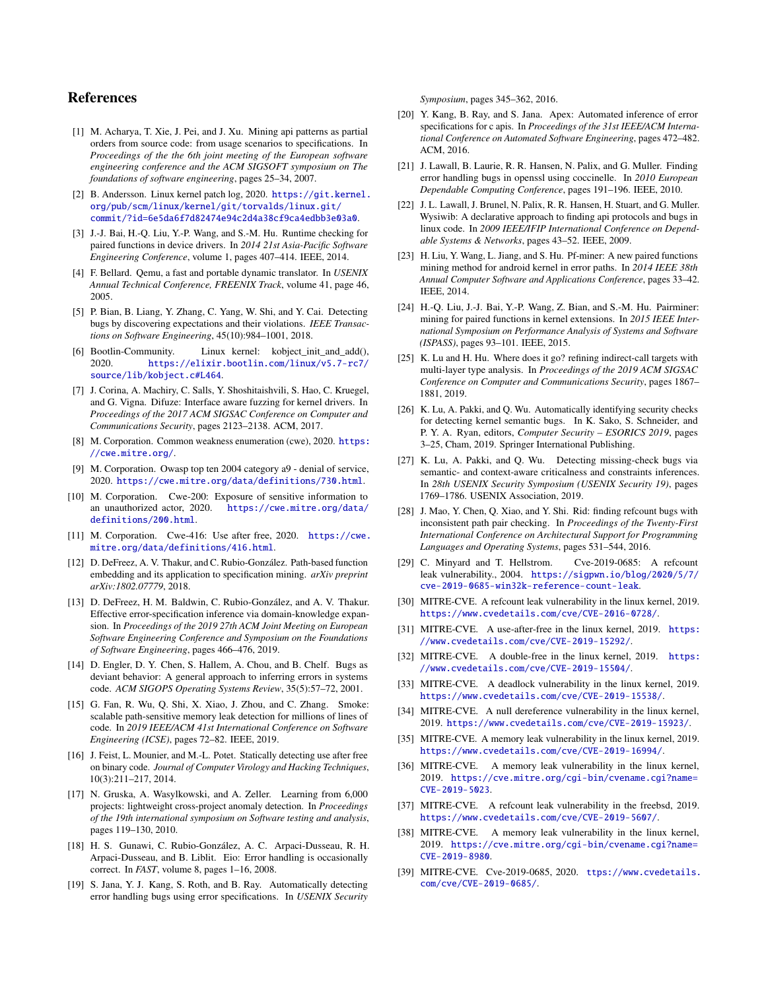## References

- <span id="page-15-34"></span>[1] M. Acharya, T. Xie, J. Pei, and J. Xu. Mining api patterns as partial orders from source code: from usage scenarios to specifications. In *Proceedings of the the 6th joint meeting of the European software engineering conference and the ACM SIGSOFT symposium on The foundations of software engineering*, pages 25–34, 2007.
- <span id="page-15-24"></span>[2] B. Andersson. Linux kernel patch log, 2020. [https://git.kernel.](https://git.kernel.org/pub/scm/linux/kernel/git/torvalds/linux.git/commit/?id=6e5da6f7d82474e94c2d4a38cf9ca4edbb3e03a0) [org/pub/scm/linux/kernel/git/torvalds/linux.git/](https://git.kernel.org/pub/scm/linux/kernel/git/torvalds/linux.git/commit/?id=6e5da6f7d82474e94c2d4a38cf9ca4edbb3e03a0) [commit/?id=6e5da6f7d82474e94c2d4a38cf9ca4edbb3e03a0](https://git.kernel.org/pub/scm/linux/kernel/git/torvalds/linux.git/commit/?id=6e5da6f7d82474e94c2d4a38cf9ca4edbb3e03a0).
- <span id="page-15-30"></span>[3] J.-J. Bai, H.-Q. Liu, Y.-P. Wang, and S.-M. Hu. Runtime checking for paired functions in device drivers. In *2014 21st Asia-Pacific Software Engineering Conference*, volume 1, pages 407–414. IEEE, 2014.
- <span id="page-15-23"></span>[4] F. Bellard. Qemu, a fast and portable dynamic translator. In *USENIX Annual Technical Conference, FREENIX Track*, volume 41, page 46, 2005.
- <span id="page-15-36"></span>[5] P. Bian, B. Liang, Y. Zhang, C. Yang, W. Shi, and Y. Cai. Detecting bugs by discovering expectations and their violations. *IEEE Transactions on Software Engineering*, 45(10):984–1001, 2018.
- <span id="page-15-18"></span>[6] Bootlin-Community. Linux kernel: kobject\_init\_and\_add(), 2020. [https://elixir.bootlin.com/linux/v5.7-rc7/](https://elixir.bootlin.com/linux/v5.7-rc7/source/lib/kobject.c#L464) [source/lib/kobject.c#L464](https://elixir.bootlin.com/linux/v5.7-rc7/source/lib/kobject.c#L464).
- <span id="page-15-28"></span>[7] J. Corina, A. Machiry, C. Salls, Y. Shoshitaishvili, S. Hao, C. Kruegel, and G. Vigna. Difuze: Interface aware fuzzing for kernel drivers. In *Proceedings of the 2017 ACM SIGSAC Conference on Computer and Communications Security*, pages 2123–2138. ACM, 2017.
- <span id="page-15-25"></span>[8] M. Corporation. Common weakness enumeration (cwe), 2020. [https:](https://cwe.mitre.org/) [//cwe.mitre.org/](https://cwe.mitre.org/).
- <span id="page-15-3"></span>[9] M. Corporation. Owasp top ten 2004 category a9 - denial of service, 2020. <https://cwe.mitre.org/data/definitions/730.html>.
- <span id="page-15-2"></span>[10] M. Corporation. Cwe-200: Exposure of sensitive information to an unauthorized actor, 2020. [https://cwe.mitre.org/data/](https://cwe.mitre.org/data/definitions/200.html) [definitions/200.html](https://cwe.mitre.org/data/definitions/200.html).
- <span id="page-15-1"></span>[11] M. Corporation. Cwe-416: Use after free, 2020. [https://cwe.](https://cwe.mitre.org/data/definitions/416.html) [mitre.org/data/definitions/416.html](https://cwe.mitre.org/data/definitions/416.html).
- <span id="page-15-37"></span>[12] D. DeFreez, A. V. Thakur, and C. Rubio-González. Path-based function embedding and its application to specification mining. *arXiv preprint arXiv:1802.07779*, 2018.
- <span id="page-15-31"></span>[13] D. DeFreez, H. M. Baldwin, C. Rubio-González, and A. V. Thakur. Effective error-specification inference via domain-knowledge expansion. In *Proceedings of the 2019 27th ACM Joint Meeting on European Software Engineering Conference and Symposium on the Foundations of Software Engineering*, pages 466–476, 2019.
- <span id="page-15-19"></span>[14] D. Engler, D. Y. Chen, S. Hallem, A. Chou, and B. Chelf. Bugs as deviant behavior: A general approach to inferring errors in systems code. *ACM SIGOPS Operating Systems Review*, 35(5):57–72, 2001.
- <span id="page-15-16"></span>[15] G. Fan, R. Wu, Q. Shi, X. Xiao, J. Zhou, and C. Zhang. Smoke: scalable path-sensitive memory leak detection for millions of lines of code. In *2019 IEEE/ACM 41st International Conference on Software Engineering (ICSE)*, pages 72–82. IEEE, 2019.
- <span id="page-15-33"></span>[16] J. Feist, L. Mounier, and M.-L. Potet. Statically detecting use after free on binary code. *Journal of Computer Virology and Hacking Techniques*, 10(3):211–217, 2014.
- <span id="page-15-35"></span>[17] N. Gruska, A. Wasylkowski, and A. Zeller. Learning from 6,000 projects: lightweight cross-project anomaly detection. In *Proceedings of the 19th international symposium on Software testing and analysis*, pages 119–130, 2010.
- <span id="page-15-0"></span>[18] H. S. Gunawi, C. Rubio-González, A. C. Arpaci-Dusseau, R. H. Arpaci-Dusseau, and B. Liblit. Eio: Error handling is occasionally correct. In *FAST*, volume 8, pages 1–16, 2008.
- <span id="page-15-5"></span>[19] S. Jana, Y. J. Kang, S. Roth, and B. Ray. Automatically detecting error handling bugs using error specifications. In *USENIX Security*

*Symposium*, pages 345–362, 2016.

- <span id="page-15-4"></span>[20] Y. Kang, B. Ray, and S. Jana. Apex: Automated inference of error specifications for c apis. In *Proceedings of the 31st IEEE/ACM International Conference on Automated Software Engineering*, pages 472–482. ACM, 2016.
- <span id="page-15-32"></span>[21] J. Lawall, B. Laurie, R. R. Hansen, N. Palix, and G. Muller. Finding error handling bugs in openssl using coccinelle. In *2010 European Dependable Computing Conference*, pages 191–196. IEEE, 2010.
- <span id="page-15-22"></span>[22] J. L. Lawall, J. Brunel, N. Palix, R. R. Hansen, H. Stuart, and G. Muller. Wysiwib: A declarative approach to finding api protocols and bugs in linux code. In *2009 IEEE/IFIP International Conference on Dependable Systems & Networks*, pages 43–52. IEEE, 2009.
- <span id="page-15-20"></span>[23] H. Liu, Y. Wang, L. Jiang, and S. Hu. Pf-miner: A new paired functions mining method for android kernel in error paths. In *2014 IEEE 38th Annual Computer Software and Applications Conference*, pages 33–42. IEEE, 2014.
- <span id="page-15-21"></span>[24] H.-Q. Liu, J.-J. Bai, Y.-P. Wang, Z. Bian, and S.-M. Hu. Pairminer: mining for paired functions in kernel extensions. In *2015 IEEE International Symposium on Performance Analysis of Systems and Software (ISPASS)*, pages 93–101. IEEE, 2015.
- <span id="page-15-29"></span>[25] K. Lu and H. Hu. Where does it go? refining indirect-call targets with multi-layer type analysis. In *Proceedings of the 2019 ACM SIGSAC Conference on Computer and Communications Security*, pages 1867– 1881, 2019.
- <span id="page-15-38"></span>[26] K. Lu, A. Pakki, and Q. Wu. Automatically identifying security checks for detecting kernel semantic bugs. In K. Sako, S. Schneider, and P. Y. A. Ryan, editors, *Computer Security – ESORICS 2019*, pages 3–25, Cham, 2019. Springer International Publishing.
- <span id="page-15-17"></span>[27] K. Lu, A. Pakki, and Q. Wu. Detecting missing-check bugs via semantic- and context-aware criticalness and constraints inferences. In *28th USENIX Security Symposium (USENIX Security 19)*, pages 1769–1786. USENIX Association, 2019.
- <span id="page-15-6"></span>[28] J. Mao, Y. Chen, Q. Xiao, and Y. Shi. Rid: finding refcount bugs with inconsistent path pair checking. In *Proceedings of the Twenty-First International Conference on Architectural Support for Programming Languages and Operating Systems*, pages 531–544, 2016.
- <span id="page-15-12"></span>[29] C. Minyard and T. Hellstrom. Cve-2019-0685: A refcount leak vulnerability., 2004. [https://sigpwn.io/blog/2020/5/7/](https://sigpwn.io/blog/2020/5/7/cve-2019-0685-win32k-reference-count-leak) [cve-2019-0685-win32k-reference-count-leak](https://sigpwn.io/blog/2020/5/7/cve-2019-0685-win32k-reference-count-leak).
- <span id="page-15-11"></span>[30] MITRE-CVE. A refcount leak vulnerability in the linux kernel, 2019. <https://www.cvedetails.com/cve/CVE-2016-0728/>.
- <span id="page-15-8"></span>[31] MITRE-CVE. A use-after-free in the linux kernel, 2019. [https:](https://www.cvedetails.com/cve/CVE-2019-15292/) [//www.cvedetails.com/cve/CVE-2019-15292/](https://www.cvedetails.com/cve/CVE-2019-15292/).
- <span id="page-15-7"></span>[32] MITRE-CVE. A double-free in the linux kernel, 2019. [https:](https://www.cvedetails.com/cve/CVE-2019-15504/) [//www.cvedetails.com/cve/CVE-2019-15504/](https://www.cvedetails.com/cve/CVE-2019-15504/).
- <span id="page-15-14"></span>[33] MITRE-CVE. A deadlock vulnerability in the linux kernel, 2019. <https://www.cvedetails.com/cve/CVE-2019-15538/>.
- <span id="page-15-9"></span>[34] MITRE-CVE. A null dereference vulnerability in the linux kernel, 2019. <https://www.cvedetails.com/cve/CVE-2019-15923/>.
- <span id="page-15-15"></span>[35] MITRE-CVE. A memory leak vulnerability in the linux kernel, 2019. <https://www.cvedetails.com/cve/CVE-2019-16994/>.
- <span id="page-15-27"></span>[36] MITRE-CVE. A memory leak vulnerability in the linux kernel, 2019. [https://cve.mitre.org/cgi-bin/cvename.cgi?name=](https://cve.mitre.org/cgi-bin/cvename.cgi?name=CVE-2019-5023) [CVE-2019-5023](https://cve.mitre.org/cgi-bin/cvename.cgi?name=CVE-2019-5023).
- <span id="page-15-10"></span>[37] MITRE-CVE. A refcount leak vulnerability in the freebsd, 2019. [https://www.cvedetails.com/cve/CVE-2019-5607/]( https://www.cvedetails.com/cve/CVE-2019-5607/).
- <span id="page-15-26"></span>[38] MITRE-CVE. A memory leak vulnerability in the linux kernel, 2019. [https://cve.mitre.org/cgi-bin/cvename.cgi?name=](https://cve.mitre.org/cgi-bin/cvename.cgi?name=CVE-2019-8980) [CVE-2019-8980](https://cve.mitre.org/cgi-bin/cvename.cgi?name=CVE-2019-8980).
- <span id="page-15-13"></span>[39] MITRE-CVE. Cve-2019-0685, 2020. [ttps://www.cvedetails.](ttps://www.cvedetails.com/cve/CVE-2019-0685/) [com/cve/CVE-2019-0685/](ttps://www.cvedetails.com/cve/CVE-2019-0685/).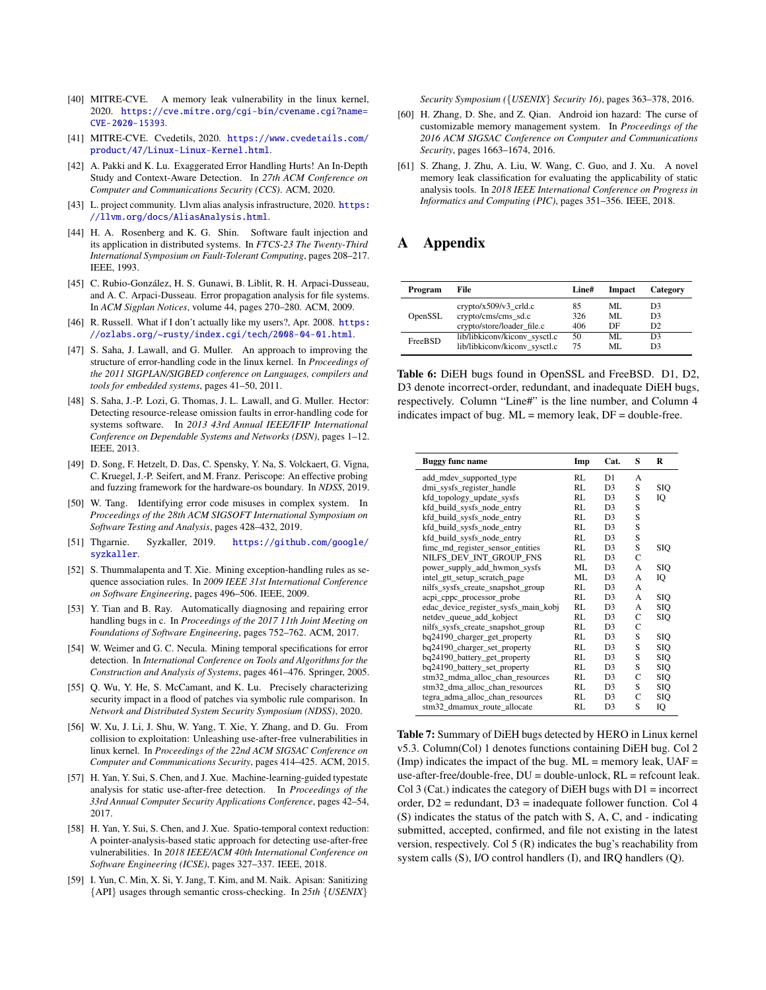- <span id="page-16-10"></span>[40] MITRE-CVE. A memory leak vulnerability in the linux kernel, 2020. [https://cve.mitre.org/cgi-bin/cvename.cgi?name=](https://cve.mitre.org/cgi-bin/cvename.cgi?name=CVE-2020-15393) [CVE-2020-15393](https://cve.mitre.org/cgi-bin/cvename.cgi?name=CVE-2020-15393).
- <span id="page-16-0"></span>[41] MITRE-CVE. Cvedetils, 2020. [https://www.cvedetails.com/](https://www.cvedetails.com/product/47/Linux-Linux-Kernel.html) [product/47/Linux-Linux-Kernel.html](https://www.cvedetails.com/product/47/Linux-Linux-Kernel.html).
- <span id="page-16-18"></span>[42] A. Pakki and K. Lu. Exaggerated Error Handling Hurts! An In-Depth Study and Context-Aware Detection. In *27th ACM Conference on Computer and Communications Security (CCS)*. ACM, 2020.
- <span id="page-16-8"></span>[43] L. project community. Llvm alias analysis infrastructure, 2020. [https:](https://llvm.org/docs/AliasAnalysis.html) [//llvm.org/docs/AliasAnalysis.html](https://llvm.org/docs/AliasAnalysis.html).
- <span id="page-16-2"></span>[44] H. A. Rosenberg and K. G. Shin. Software fault injection and its application in distributed systems. In *FTCS-23 The Twenty-Third International Symposium on Fault-Tolerant Computing*, pages 208–217. IEEE, 1993.
- <span id="page-16-3"></span>[45] C. Rubio-González, H. S. Gunawi, B. Liblit, R. H. Arpaci-Dusseau, and A. C. Arpaci-Dusseau. Error propagation analysis for file systems. In *ACM Sigplan Notices*, volume 44, pages 270–280. ACM, 2009.
- <span id="page-16-6"></span>[46] R. Russell. What if I don't actually like my users?, Apr. 2008. [https:](https://ozlabs.org/~rusty/index.cgi/tech/2008-04-01.html) [//ozlabs.org/~rusty/index.cgi/tech/2008-04-01.html](https://ozlabs.org/~rusty/index.cgi/tech/2008-04-01.html).
- <span id="page-16-16"></span>[47] S. Saha, J. Lawall, and G. Muller. An approach to improving the structure of error-handling code in the linux kernel. In *Proceedings of the 2011 SIGPLAN/SIGBED conference on Languages, compilers and tools for embedded systems*, pages 41–50, 2011.
- <span id="page-16-5"></span>[48] S. Saha, J.-P. Lozi, G. Thomas, J. L. Lawall, and G. Muller. Hector: Detecting resource-release omission faults in error-handling code for systems software. In *2013 43rd Annual IEEE/IFIP International Conference on Dependable Systems and Networks (DSN)*, pages 1–12. IEEE, 2013.
- <span id="page-16-11"></span>[49] D. Song, F. Hetzelt, D. Das, C. Spensky, Y. Na, S. Volckaert, G. Vigna, C. Kruegel, J.-P. Seifert, and M. Franz. Periscope: An effective probing and fuzzing framework for the hardware-os boundary. In *NDSS*, 2019.
- <span id="page-16-17"></span>[50] W. Tang. Identifying error code misuses in complex system. In *Proceedings of the 28th ACM SIGSOFT International Symposium on Software Testing and Analysis*, pages 428–432, 2019.
- <span id="page-16-12"></span>[51] Thgarnie. Syzkaller, 2019. [https://github.com/google/](https://github.com/google/syzkaller) [syzkaller](https://github.com/google/syzkaller).
- <span id="page-16-19"></span>[52] S. Thummalapenta and T. Xie. Mining exception-handling rules as sequence association rules. In *2009 IEEE 31st International Conference on Software Engineering*, pages 496–506. IEEE, 2009.
- <span id="page-16-4"></span>[53] Y. Tian and B. Ray. Automatically diagnosing and repairing error handling bugs in c. In *Proceedings of the 2017 11th Joint Meeting on Foundations of Software Engineering*, pages 752–762. ACM, 2017.
- <span id="page-16-22"></span>[54] W. Weimer and G. C. Necula. Mining temporal specifications for error detection. In *International Conference on Tools and Algorithms for the Construction and Analysis of Systems*, pages 461–476. Springer, 2005.
- <span id="page-16-13"></span>[55] Q. Wu, Y. He, S. McCamant, and K. Lu. Precisely characterizing security impact in a flood of patches via symbolic rule comparison. In *Network and Distributed System Security Symposium (NDSS)*, 2020.
- <span id="page-16-15"></span>[56] W. Xu, J. Li, J. Shu, W. Yang, T. Xie, Y. Zhang, and D. Gu. From collision to exploitation: Unleashing use-after-free vulnerabilities in linux kernel. In *Proceedings of the 22nd ACM SIGSAC Conference on Computer and Communications Security*, pages 414–425. ACM, 2015.
- <span id="page-16-23"></span>[57] H. Yan, Y. Sui, S. Chen, and J. Xue. Machine-learning-guided typestate analysis for static use-after-free detection. In *Proceedings of the 33rd Annual Computer Security Applications Conference*, pages 42–54, 2017.
- <span id="page-16-20"></span>[58] H. Yan, Y. Sui, S. Chen, and J. Xue. Spatio-temporal context reduction: A pointer-analysis-based static approach for detecting use-after-free vulnerabilities. In *2018 IEEE/ACM 40th International Conference on Software Engineering (ICSE)*, pages 327–337. IEEE, 2018.
- <span id="page-16-21"></span>[59] I. Yun, C. Min, X. Si, Y. Jang, T. Kim, and M. Naik. Apisan: Sanitizing {API} usages through semantic cross-checking. In *25th* {*USENIX*}

*Security Symposium (*{*USENIX*} *Security 16)*, pages 363–378, 2016.

- <span id="page-16-1"></span>[60] H. Zhang, D. She, and Z. Qian. Android ion hazard: The curse of customizable memory management system. In *Proceedings of the 2016 ACM SIGSAC Conference on Computer and Communications Security*, pages 1663–1674, 2016.
- <span id="page-16-7"></span>[61] S. Zhang, J. Zhu, A. Liu, W. Wang, C. Guo, and J. Xu. A novel memory leak classification for evaluating the applicability of static analysis tools. In *2018 IEEE International Conference on Progress in Informatics and Computing (PIC)*, pages 351–356. IEEE, 2018.

# <span id="page-16-9"></span>A Appendix

| Program | File                          | Line# | Impact | Category       |
|---------|-------------------------------|-------|--------|----------------|
| OpenSSL | $crypto/x509/v3$ crld.c       | 85    | ML.    | D3             |
|         | crypto/cms/cms sd.c           | 326   | ML     | D <sub>3</sub> |
|         | crypto/store/loader file.c    | 406   | DE     | D <sub>2</sub> |
| FreeBSD | lib/libkiconv/kiconv_sysctl.c | 50    | ML.    | D3             |
|         | lib/libkiconv/kiconv sysctl.c | 75    | ML.    | D3             |

Table 6: DiEH bugs found in OpenSSL and FreeBSD. D1, D2, D3 denote incorrect-order, redundant, and inadequate DiEH bugs, respectively. Column "Line#" is the line number, and Column 4 indicates impact of bug. ML = memory leak, DF = double-free.

<span id="page-16-14"></span>

| <b>Buggy func name</b>               | Imp | Cat.           | S | R          |
|--------------------------------------|-----|----------------|---|------------|
| add_mdev_supported_type              | RL  | D1             | A |            |
| dmi_sysfs_register_handle            | RL  | D <sub>3</sub> | S | <b>SIO</b> |
| kfd_topology_update_sysfs            | RL  | D <sub>3</sub> | S | IQ         |
| kfd_build_sysfs_node_entry           | RL  | D <sub>3</sub> | S |            |
| kfd build sysfs node entry           | RL  | D <sub>3</sub> | S |            |
| kfd_build_sysfs_node_entry           | RL  | D <sub>3</sub> | S |            |
| kfd_build_sysfs_node_entry           | RL  | D <sub>3</sub> | S |            |
| fime_md_register_sensor_entities     | RL  | D <sub>3</sub> | S | SIQ        |
| NILFS DEV INT GROUP FNS              | RL  | D <sub>3</sub> | C |            |
| power_supply_add_hwmon_sysfs         | ML  | D <sub>3</sub> | A | SIO        |
| intel_gtt_setup_scratch_page         | ML  | D <sub>3</sub> | A | IQ         |
| nilfs_sysfs_create_snapshot_group    | RL  | D <sub>3</sub> | A |            |
| acpi_cppc_processor_probe            | RL  | D <sub>3</sub> | A | SIO        |
| edac_device_register_sysfs_main_kobj | RL  | D <sub>3</sub> | A | <b>SIO</b> |
| netdev_queue_add_kobject             | RL  | D <sub>3</sub> | C | SIQ        |
| nilfs_sysfs_create_snapshot_group    | RL  | D <sub>3</sub> | C |            |
| bq24190_charger_get_property         | RL  | D <sub>3</sub> | S | <b>SIQ</b> |
| bq24190_charger_set_property         | RL  | D <sub>3</sub> | S | SIO        |
| bq24190_battery_get_property         | RL  | D <sub>3</sub> | S | SIO        |
| bq24190_battery_set_property         | RL  | D <sub>3</sub> | S | SIQ        |
| stm32 mdma alloc chan resources      | RL  | D <sub>3</sub> | C | SIO        |
| stm32_dma_alloc_chan_resources       | RL  | D <sub>3</sub> | S | SIQ        |
| tegra_adma_alloc_chan_resources      | RL  | D <sub>3</sub> | C | SIQ        |
| stm32_dmamux_route_allocate          | RL  | D <sub>3</sub> | S | IQ         |

Table 7: Summary of DiEH bugs detected by HERO in Linux kernel v5.3. Column(Col) 1 denotes functions containing DiEH bug. Col 2 (Imp) indicates the impact of the bug.  $ML =$  memory leak,  $UAF =$ use-after-free/double-free, DU = double-unlock, RL = refcount leak. Col 3 (Cat.) indicates the category of DiEH bugs with  $D1 =$  incorrect order, D2 = redundant, D3 = inadequate follower function. Col 4 (S) indicates the status of the patch with S, A, C, and - indicating submitted, accepted, confirmed, and file not existing in the latest version, respectively. Col 5 (R) indicates the bug's reachability from system calls (S), I/O control handlers (I), and IRQ handlers (Q).